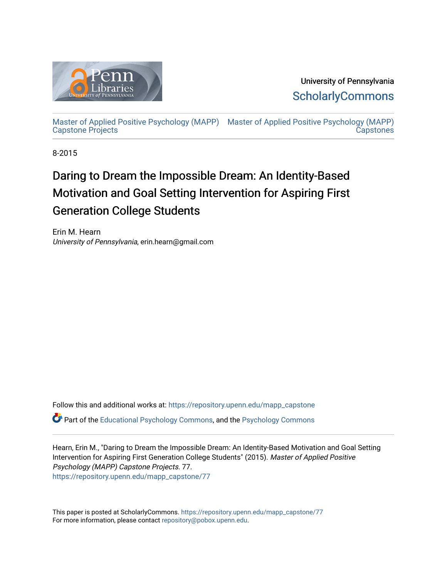

University of Pennsylvania **ScholarlyCommons** 

[Master of Applied Positive Psychology \(MAPP\)](https://repository.upenn.edu/mapp_capstone) [Master of Applied Positive Psychology \(MAPP\)](https://repository.upenn.edu/mapp_capstones)  [Capstone Projects](https://repository.upenn.edu/mapp_capstone)  **Capstones** 

8-2015

# Daring to Dream the Impossible Dream: An Identity-Based Motivation and Goal Setting Intervention for Aspiring First Generation College Students

Erin M. Hearn University of Pennsylvania, erin.hearn@gmail.com

Follow this and additional works at: [https://repository.upenn.edu/mapp\\_capstone](https://repository.upenn.edu/mapp_capstone?utm_source=repository.upenn.edu%2Fmapp_capstone%2F77&utm_medium=PDF&utm_campaign=PDFCoverPages)  Part of the [Educational Psychology Commons,](http://network.bepress.com/hgg/discipline/798?utm_source=repository.upenn.edu%2Fmapp_capstone%2F77&utm_medium=PDF&utm_campaign=PDFCoverPages) and the [Psychology Commons](http://network.bepress.com/hgg/discipline/404?utm_source=repository.upenn.edu%2Fmapp_capstone%2F77&utm_medium=PDF&utm_campaign=PDFCoverPages)

Hearn, Erin M., "Daring to Dream the Impossible Dream: An Identity-Based Motivation and Goal Setting Intervention for Aspiring First Generation College Students" (2015). Master of Applied Positive Psychology (MAPP) Capstone Projects. 77. [https://repository.upenn.edu/mapp\\_capstone/77](https://repository.upenn.edu/mapp_capstone/77?utm_source=repository.upenn.edu%2Fmapp_capstone%2F77&utm_medium=PDF&utm_campaign=PDFCoverPages)

This paper is posted at ScholarlyCommons. [https://repository.upenn.edu/mapp\\_capstone/77](https://repository.upenn.edu/mapp_capstone/77)  For more information, please contact [repository@pobox.upenn.edu.](mailto:repository@pobox.upenn.edu)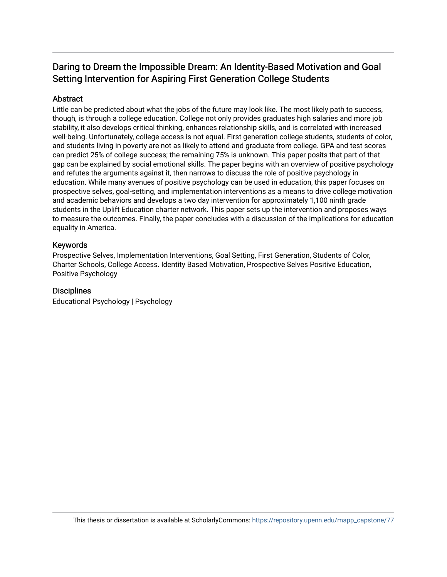# Daring to Dream the Impossible Dream: An Identity-Based Motivation and Goal Setting Intervention for Aspiring First Generation College Students

## Abstract

Little can be predicted about what the jobs of the future may look like. The most likely path to success, though, is through a college education. College not only provides graduates high salaries and more job stability, it also develops critical thinking, enhances relationship skills, and is correlated with increased well-being. Unfortunately, college access is not equal. First generation college students, students of color, and students living in poverty are not as likely to attend and graduate from college. GPA and test scores can predict 25% of college success; the remaining 75% is unknown. This paper posits that part of that gap can be explained by social emotional skills. The paper begins with an overview of positive psychology and refutes the arguments against it, then narrows to discuss the role of positive psychology in education. While many avenues of positive psychology can be used in education, this paper focuses on prospective selves, goal-setting, and implementation interventions as a means to drive college motivation and academic behaviors and develops a two day intervention for approximately 1,100 ninth grade students in the Uplift Education charter network. This paper sets up the intervention and proposes ways to measure the outcomes. Finally, the paper concludes with a discussion of the implications for education equality in America.

### Keywords

Prospective Selves, Implementation Interventions, Goal Setting, First Generation, Students of Color, Charter Schools, College Access. Identity Based Motivation, Prospective Selves Positive Education, Positive Psychology

### **Disciplines**

Educational Psychology | Psychology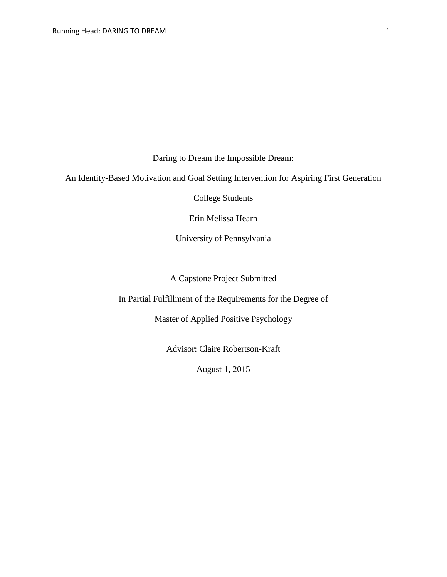Daring to Dream the Impossible Dream:

An Identity-Based Motivation and Goal Setting Intervention for Aspiring First Generation

College Students

Erin Melissa Hearn

University of Pennsylvania

A Capstone Project Submitted

In Partial Fulfillment of the Requirements for the Degree of

Master of Applied Positive Psychology

Advisor: Claire Robertson-Kraft

August 1, 2015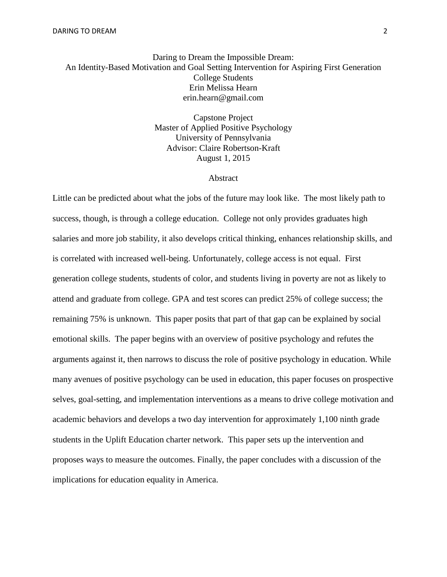# Daring to Dream the Impossible Dream: An Identity-Based Motivation and Goal Setting Intervention for Aspiring First Generation College Students Erin Melissa Hearn erin.hearn@gmail.com

Capstone Project Master of Applied Positive Psychology University of Pennsylvania Advisor: Claire Robertson-Kraft August 1, 2015

#### Abstract

Little can be predicted about what the jobs of the future may look like. The most likely path to success, though, is through a college education. College not only provides graduates high salaries and more job stability, it also develops critical thinking, enhances relationship skills, and is correlated with increased well-being. Unfortunately, college access is not equal. First generation college students, students of color, and students living in poverty are not as likely to attend and graduate from college. GPA and test scores can predict 25% of college success; the remaining 75% is unknown. This paper posits that part of that gap can be explained by social emotional skills. The paper begins with an overview of positive psychology and refutes the arguments against it, then narrows to discuss the role of positive psychology in education. While many avenues of positive psychology can be used in education, this paper focuses on prospective selves, goal-setting, and implementation interventions as a means to drive college motivation and academic behaviors and develops a two day intervention for approximately 1,100 ninth grade students in the Uplift Education charter network. This paper sets up the intervention and proposes ways to measure the outcomes. Finally, the paper concludes with a discussion of the implications for education equality in America.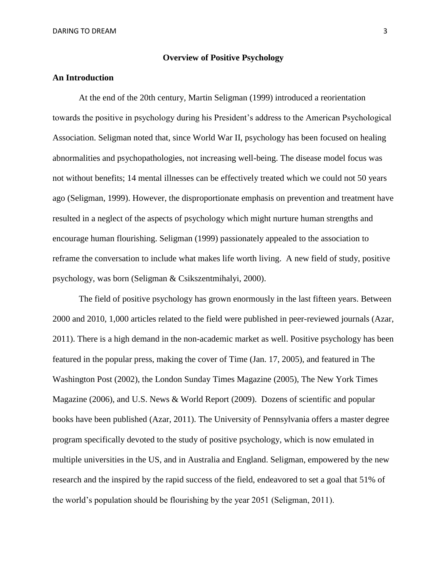#### **Overview of Positive Psychology**

#### **An Introduction**

At the end of the 20th century, Martin Seligman (1999) introduced a reorientation towards the positive in psychology during his President's address to the American Psychological Association. Seligman noted that, since World War II, psychology has been focused on healing abnormalities and psychopathologies, not increasing well-being. The disease model focus was not without benefits; 14 mental illnesses can be effectively treated which we could not 50 years ago (Seligman, 1999). However, the disproportionate emphasis on prevention and treatment have resulted in a neglect of the aspects of psychology which might nurture human strengths and encourage human flourishing. Seligman (1999) passionately appealed to the association to reframe the conversation to include what makes life worth living. A new field of study, positive psychology, was born (Seligman & Csikszentmihalyi, 2000).

The field of positive psychology has grown enormously in the last fifteen years. Between 2000 and 2010, 1,000 articles related to the field were published in peer-reviewed journals (Azar, 2011). There is a high demand in the non-academic market as well. Positive psychology has been featured in the popular press, making the cover of Time (Jan. 17, 2005), and featured in The Washington Post (2002), the London Sunday Times Magazine (2005), The New York Times Magazine (2006), and U.S. News & World Report (2009). Dozens of scientific and popular books have been published (Azar, 2011). The University of Pennsylvania offers a master degree program specifically devoted to the study of positive psychology, which is now emulated in multiple universities in the US, and in Australia and England. Seligman, empowered by the new research and the inspired by the rapid success of the field, endeavored to set a goal that 51% of the world's population should be flourishing by the year 2051 (Seligman, 2011).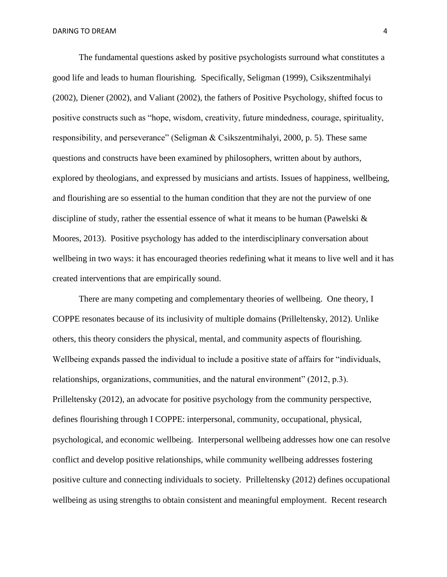The fundamental questions asked by positive psychologists surround what constitutes a good life and leads to human flourishing. Specifically, Seligman (1999), Csikszentmihalyi (2002), Diener (2002), and Valiant (2002), the fathers of Positive Psychology, shifted focus to positive constructs such as "hope, wisdom, creativity, future mindedness, courage, spirituality, responsibility, and perseverance" (Seligman & Csikszentmihalyi, 2000, p. 5). These same questions and constructs have been examined by philosophers, written about by authors, explored by theologians, and expressed by musicians and artists. Issues of happiness, wellbeing, and flourishing are so essential to the human condition that they are not the purview of one discipline of study, rather the essential essence of what it means to be human (Pawelski  $\&$ Moores, 2013). Positive psychology has added to the interdisciplinary conversation about wellbeing in two ways: it has encouraged theories redefining what it means to live well and it has created interventions that are empirically sound.

There are many competing and complementary theories of wellbeing. One theory, I COPPE resonates because of its inclusivity of multiple domains (Prilleltensky, 2012). Unlike others, this theory considers the physical, mental, and community aspects of flourishing. Wellbeing expands passed the individual to include a positive state of affairs for "individuals, relationships, organizations, communities, and the natural environment" (2012, p.3). Prilleltensky (2012), an advocate for positive psychology from the community perspective, defines flourishing through I COPPE: interpersonal, community, occupational, physical, psychological, and economic wellbeing. Interpersonal wellbeing addresses how one can resolve conflict and develop positive relationships, while community wellbeing addresses fostering positive culture and connecting individuals to society. Prilleltensky (2012) defines occupational wellbeing as using strengths to obtain consistent and meaningful employment. Recent research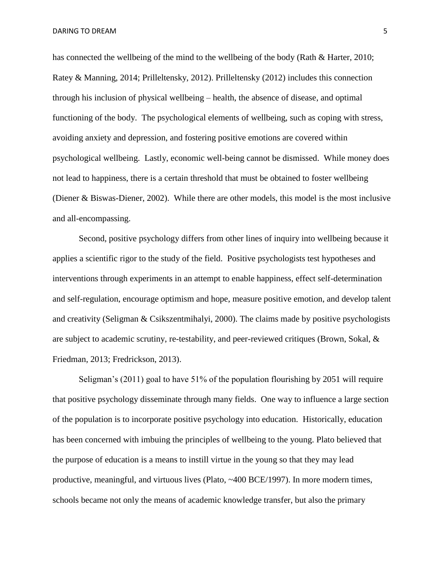has connected the wellbeing of the mind to the wellbeing of the body (Rath & Harter, 2010; Ratey & Manning, 2014; Prilleltensky, 2012). Prilleltensky (2012) includes this connection through his inclusion of physical wellbeing – health, the absence of disease, and optimal functioning of the body. The psychological elements of wellbeing, such as coping with stress, avoiding anxiety and depression, and fostering positive emotions are covered within psychological wellbeing. Lastly, economic well-being cannot be dismissed. While money does not lead to happiness, there is a certain threshold that must be obtained to foster wellbeing (Diener & Biswas-Diener, 2002). While there are other models, this model is the most inclusive and all-encompassing.

Second, positive psychology differs from other lines of inquiry into wellbeing because it applies a scientific rigor to the study of the field. Positive psychologists test hypotheses and interventions through experiments in an attempt to enable happiness, effect self-determination and self-regulation, encourage optimism and hope, measure positive emotion, and develop talent and creativity (Seligman & Csikszentmihalyi, 2000). The claims made by positive psychologists are subject to academic scrutiny, re-testability, and peer-reviewed critiques (Brown, Sokal, & Friedman, 2013; Fredrickson, 2013).

Seligman's (2011) goal to have 51% of the population flourishing by 2051 will require that positive psychology disseminate through many fields. One way to influence a large section of the population is to incorporate positive psychology into education. Historically, education has been concerned with imbuing the principles of wellbeing to the young. Plato believed that the purpose of education is a means to instill virtue in the young so that they may lead productive, meaningful, and virtuous lives (Plato, ~400 BCE/1997). In more modern times, schools became not only the means of academic knowledge transfer, but also the primary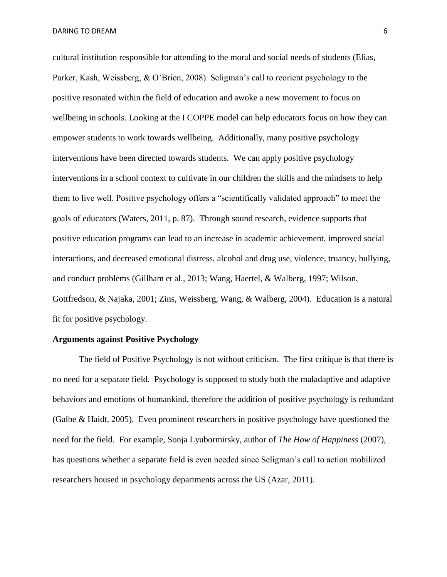cultural institution responsible for attending to the moral and social needs of students (Elias, Parker, Kash, Weissberg, & O'Brien, 2008). Seligman's call to reorient psychology to the positive resonated within the field of education and awoke a new movement to focus on wellbeing in schools. Looking at the I COPPE model can help educators focus on how they can empower students to work towards wellbeing. Additionally, many positive psychology interventions have been directed towards students. We can apply positive psychology interventions in a school context to cultivate in our children the skills and the mindsets to help them to live well. Positive psychology offers a "scientifically validated approach" to meet the goals of educators (Waters, 2011, p. 87). Through sound research, evidence supports that positive education programs can lead to an increase in academic achievement, improved social interactions, and decreased emotional distress, alcohol and drug use, violence, truancy, bullying, and conduct problems (Gillham et al., 2013; Wang, Haertel, & Walberg, 1997; Wilson, Gottfredson, & Najaka, 2001; Zins, Weissberg, Wang, & Walberg, 2004). Education is a natural fit for positive psychology.

#### **Arguments against Positive Psychology**

The field of Positive Psychology is not without criticism. The first critique is that there is no need for a separate field. Psychology is supposed to study both the maladaptive and adaptive behaviors and emotions of humankind, therefore the addition of positive psychology is redundant (Galbe & Haidt, 2005). Even prominent researchers in positive psychology have questioned the need for the field. For example, Sonja Lyubormirsky, author of *The How of Happiness* (2007), has questions whether a separate field is even needed since Seligman's call to action mobilized researchers housed in psychology departments across the US (Azar, 2011).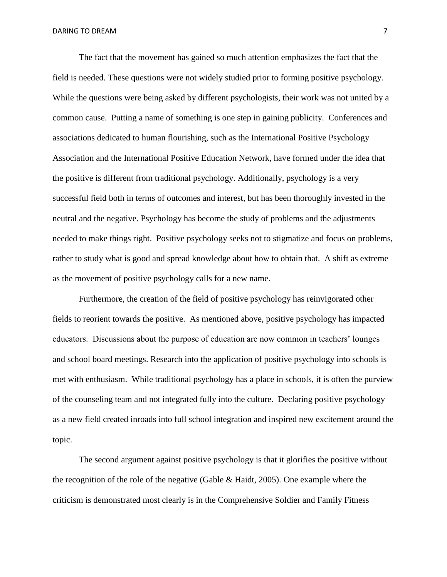The fact that the movement has gained so much attention emphasizes the fact that the field is needed. These questions were not widely studied prior to forming positive psychology. While the questions were being asked by different psychologists, their work was not united by a common cause. Putting a name of something is one step in gaining publicity. Conferences and associations dedicated to human flourishing, such as the International Positive Psychology Association and the International Positive Education Network, have formed under the idea that the positive is different from traditional psychology. Additionally, psychology is a very successful field both in terms of outcomes and interest, but has been thoroughly invested in the neutral and the negative. Psychology has become the study of problems and the adjustments needed to make things right. Positive psychology seeks not to stigmatize and focus on problems, rather to study what is good and spread knowledge about how to obtain that. A shift as extreme as the movement of positive psychology calls for a new name.

Furthermore, the creation of the field of positive psychology has reinvigorated other fields to reorient towards the positive. As mentioned above, positive psychology has impacted educators. Discussions about the purpose of education are now common in teachers' lounges and school board meetings. Research into the application of positive psychology into schools is met with enthusiasm. While traditional psychology has a place in schools, it is often the purview of the counseling team and not integrated fully into the culture. Declaring positive psychology as a new field created inroads into full school integration and inspired new excitement around the topic.

The second argument against positive psychology is that it glorifies the positive without the recognition of the role of the negative (Gable  $\&$  Haidt, 2005). One example where the criticism is demonstrated most clearly is in the Comprehensive Soldier and Family Fitness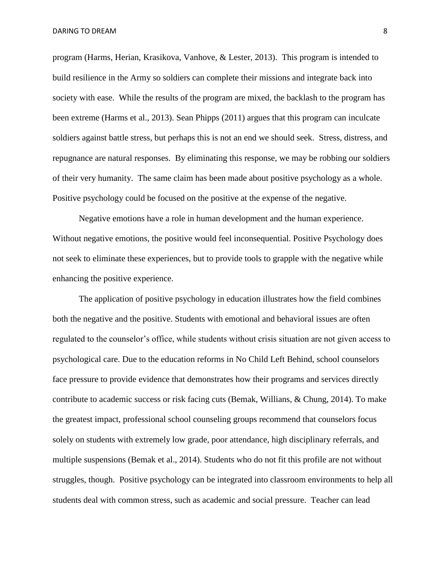program (Harms, Herian, Krasikova, Vanhove, & Lester, 2013). This program is intended to build resilience in the Army so soldiers can complete their missions and integrate back into society with ease. While the results of the program are mixed, the backlash to the program has been extreme (Harms et al., 2013). Sean Phipps (2011) argues that this program can inculcate soldiers against battle stress, but perhaps this is not an end we should seek. Stress, distress, and repugnance are natural responses. By eliminating this response, we may be robbing our soldiers of their very humanity. The same claim has been made about positive psychology as a whole. Positive psychology could be focused on the positive at the expense of the negative.

Negative emotions have a role in human development and the human experience. Without negative emotions, the positive would feel inconsequential. Positive Psychology does not seek to eliminate these experiences, but to provide tools to grapple with the negative while enhancing the positive experience.

The application of positive psychology in education illustrates how the field combines both the negative and the positive. Students with emotional and behavioral issues are often regulated to the counselor's office, while students without crisis situation are not given access to psychological care. Due to the education reforms in No Child Left Behind, school counselors face pressure to provide evidence that demonstrates how their programs and services directly contribute to academic success or risk facing cuts (Bemak, Willians, & Chung, 2014). To make the greatest impact, professional school counseling groups recommend that counselors focus solely on students with extremely low grade, poor attendance, high disciplinary referrals, and multiple suspensions (Bemak et al., 2014). Students who do not fit this profile are not without struggles, though. Positive psychology can be integrated into classroom environments to help all students deal with common stress, such as academic and social pressure. Teacher can lead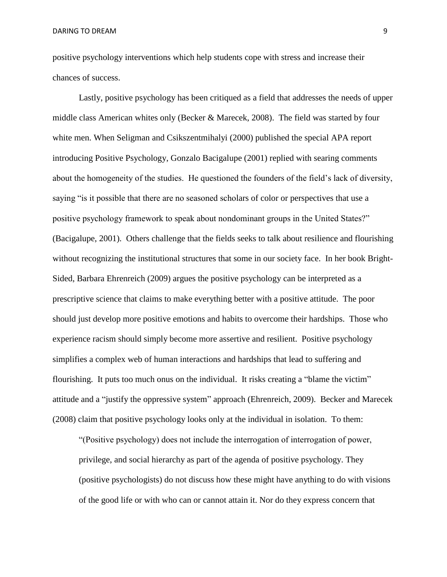positive psychology interventions which help students cope with stress and increase their chances of success.

Lastly, positive psychology has been critiqued as a field that addresses the needs of upper middle class American whites only (Becker & Marecek, 2008). The field was started by four white men. When Seligman and Csikszentmihalyi (2000) published the special APA report introducing Positive Psychology, Gonzalo Bacigalupe (2001) replied with searing comments about the homogeneity of the studies. He questioned the founders of the field's lack of diversity, saying "is it possible that there are no seasoned scholars of color or perspectives that use a positive psychology framework to speak about nondominant groups in the United States?" (Bacigalupe, 2001). Others challenge that the fields seeks to talk about resilience and flourishing without recognizing the institutional structures that some in our society face. In her book Bright-Sided, Barbara Ehrenreich (2009) argues the positive psychology can be interpreted as a prescriptive science that claims to make everything better with a positive attitude. The poor should just develop more positive emotions and habits to overcome their hardships. Those who experience racism should simply become more assertive and resilient. Positive psychology simplifies a complex web of human interactions and hardships that lead to suffering and flourishing. It puts too much onus on the individual. It risks creating a "blame the victim" attitude and a "justify the oppressive system" approach (Ehrenreich, 2009). Becker and Marecek (2008) claim that positive psychology looks only at the individual in isolation. To them:

"(Positive psychology) does not include the interrogation of interrogation of power, privilege, and social hierarchy as part of the agenda of positive psychology. They (positive psychologists) do not discuss how these might have anything to do with visions of the good life or with who can or cannot attain it. Nor do they express concern that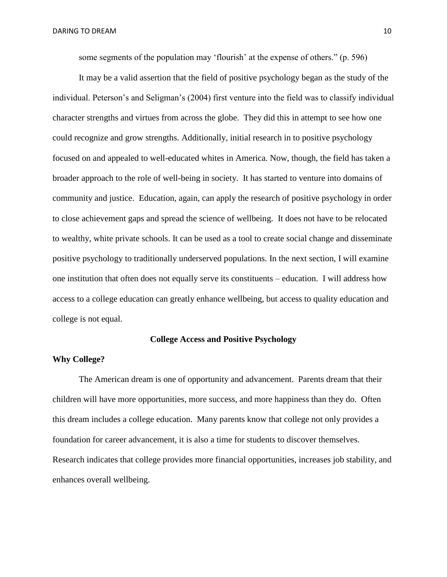some segments of the population may 'flourish' at the expense of others." (p. 596)

It may be a valid assertion that the field of positive psychology began as the study of the individual. Peterson's and Seligman's (2004) first venture into the field was to classify individual character strengths and virtues from across the globe. They did this in attempt to see how one could recognize and grow strengths. Additionally, initial research in to positive psychology focused on and appealed to well-educated whites in America. Now, though, the field has taken a broader approach to the role of well-being in society. It has started to venture into domains of community and justice. Education, again, can apply the research of positive psychology in order to close achievement gaps and spread the science of wellbeing. It does not have to be relocated to wealthy, white private schools. It can be used as a tool to create social change and disseminate positive psychology to traditionally underserved populations. In the next section, I will examine one institution that often does not equally serve its constituents – education. I will address how access to a college education can greatly enhance wellbeing, but access to quality education and college is not equal.

#### **College Access and Positive Psychology**

#### **Why College?**

The American dream is one of opportunity and advancement. Parents dream that their children will have more opportunities, more success, and more happiness than they do. Often this dream includes a college education. Many parents know that college not only provides a foundation for career advancement, it is also a time for students to discover themselves. Research indicates that college provides more financial opportunities, increases job stability, and enhances overall wellbeing.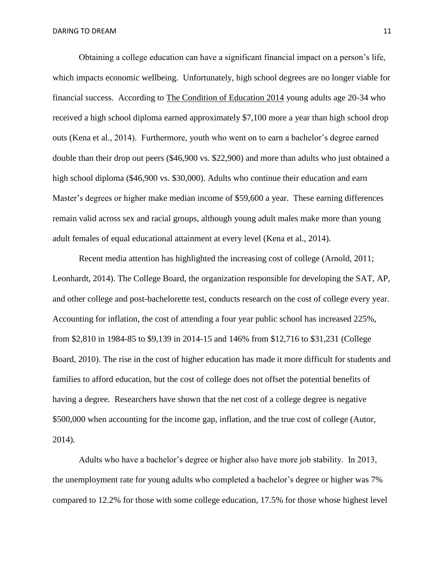Obtaining a college education can have a significant financial impact on a person's life, which impacts economic wellbeing. Unfortunately, high school degrees are no longer viable for financial success. According to The Condition of Education 2014 young adults age 20-34 who received a high school diploma earned approximately \$7,100 more a year than high school drop outs (Kena et al., 2014). Furthermore, youth who went on to earn a bachelor's degree earned double than their drop out peers (\$46,900 vs. \$22,900) and more than adults who just obtained a high school diploma (\$46,900 vs. \$30,000). Adults who continue their education and earn Master's degrees or higher make median income of \$59,600 a year. These earning differences remain valid across sex and racial groups, although young adult males make more than young adult females of equal educational attainment at every level (Kena et al., 2014).

Recent media attention has highlighted the increasing cost of college (Arnold, 2011; Leonhardt, 2014). The College Board, the organization responsible for developing the SAT, AP, and other college and post-bachelorette test, conducts research on the cost of college every year. Accounting for inflation, the cost of attending a four year public school has increased 225%, from \$2,810 in 1984-85 to \$9,139 in 2014-15 and 146% from \$12,716 to \$31,231 (College Board, 2010). The rise in the cost of higher education has made it more difficult for students and families to afford education, but the cost of college does not offset the potential benefits of having a degree. Researchers have shown that the net cost of a college degree is negative \$500,000 when accounting for the income gap, inflation, and the true cost of college (Autor, 2014).

Adults who have a bachelor's degree or higher also have more job stability. In 2013, the unemployment rate for young adults who completed a bachelor's degree or higher was 7% compared to 12.2% for those with some college education, 17.5% for those whose highest level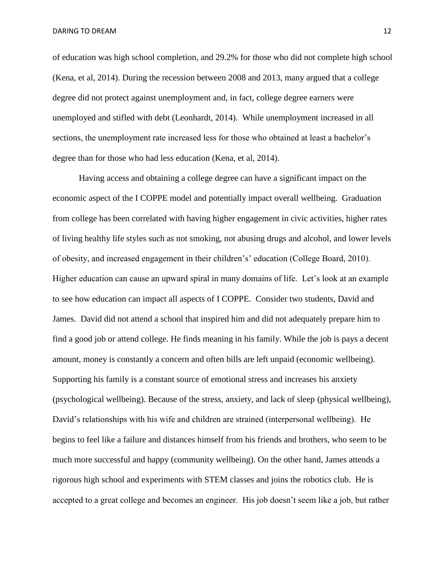of education was high school completion, and 29.2% for those who did not complete high school (Kena, et al, 2014). During the recession between 2008 and 2013, many argued that a college degree did not protect against unemployment and, in fact, college degree earners were unemployed and stifled with debt (Leonhardt, 2014). While unemployment increased in all sections, the unemployment rate increased less for those who obtained at least a bachelor's degree than for those who had less education (Kena, et al, 2014).

Having access and obtaining a college degree can have a significant impact on the economic aspect of the I COPPE model and potentially impact overall wellbeing. Graduation from college has been correlated with having higher engagement in civic activities, higher rates of living healthy life styles such as not smoking, not abusing drugs and alcohol, and lower levels of obesity, and increased engagement in their children's' education (College Board, 2010). Higher education can cause an upward spiral in many domains of life. Let's look at an example to see how education can impact all aspects of I COPPE. Consider two students, David and James. David did not attend a school that inspired him and did not adequately prepare him to find a good job or attend college. He finds meaning in his family. While the job is pays a decent amount, money is constantly a concern and often bills are left unpaid (economic wellbeing). Supporting his family is a constant source of emotional stress and increases his anxiety (psychological wellbeing). Because of the stress, anxiety, and lack of sleep (physical wellbeing), David's relationships with his wife and children are strained (interpersonal wellbeing). He begins to feel like a failure and distances himself from his friends and brothers, who seem to be much more successful and happy (community wellbeing). On the other hand, James attends a rigorous high school and experiments with STEM classes and joins the robotics club. He is accepted to a great college and becomes an engineer. His job doesn't seem like a job, but rather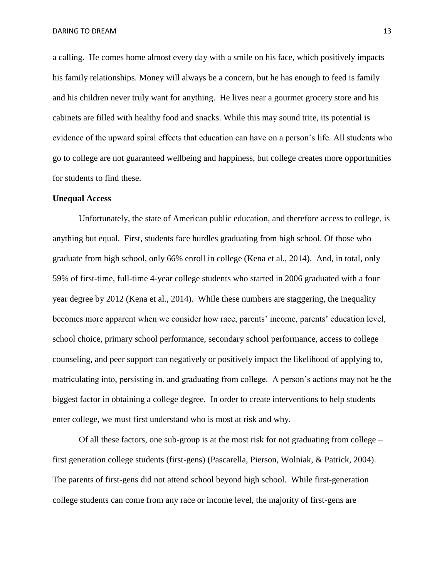a calling. He comes home almost every day with a smile on his face, which positively impacts his family relationships. Money will always be a concern, but he has enough to feed is family and his children never truly want for anything. He lives near a gourmet grocery store and his cabinets are filled with healthy food and snacks. While this may sound trite, its potential is evidence of the upward spiral effects that education can have on a person's life. All students who go to college are not guaranteed wellbeing and happiness, but college creates more opportunities for students to find these.

#### **Unequal Access**

Unfortunately, the state of American public education, and therefore access to college, is anything but equal. First, students face hurdles graduating from high school. Of those who graduate from high school, only 66% enroll in college (Kena et al., 2014). And, in total, only 59% of first-time, full-time 4-year college students who started in 2006 graduated with a four year degree by 2012 (Kena et al., 2014). While these numbers are staggering, the inequality becomes more apparent when we consider how race, parents' income, parents' education level, school choice, primary school performance, secondary school performance, access to college counseling, and peer support can negatively or positively impact the likelihood of applying to, matriculating into, persisting in, and graduating from college. A person's actions may not be the biggest factor in obtaining a college degree. In order to create interventions to help students enter college, we must first understand who is most at risk and why.

Of all these factors, one sub-group is at the most risk for not graduating from college – first generation college students (first-gens) (Pascarella, Pierson, Wolniak, & Patrick, 2004). The parents of first-gens did not attend school beyond high school. While first-generation college students can come from any race or income level, the majority of first-gens are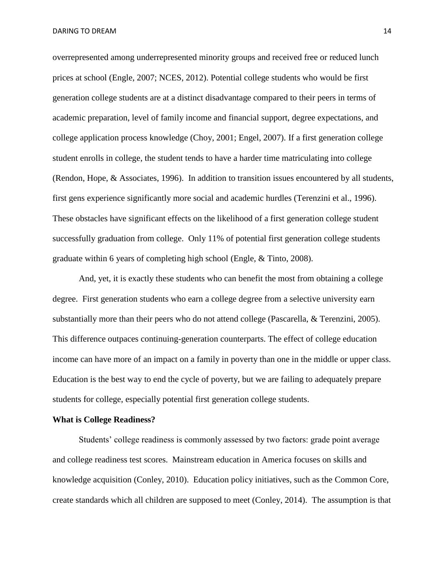overrepresented among underrepresented minority groups and received free or reduced lunch prices at school (Engle, 2007; NCES, 2012). Potential college students who would be first generation college students are at a distinct disadvantage compared to their peers in terms of academic preparation, level of family income and financial support, degree expectations, and college application process knowledge (Choy, 2001; Engel, 2007). If a first generation college student enrolls in college, the student tends to have a harder time matriculating into college (Rendon, Hope, & Associates, 1996). In addition to transition issues encountered by all students, first gens experience significantly more social and academic hurdles (Terenzini et al., 1996). These obstacles have significant effects on the likelihood of a first generation college student successfully graduation from college. Only 11% of potential first generation college students graduate within 6 years of completing high school (Engle, & Tinto, 2008).

And, yet, it is exactly these students who can benefit the most from obtaining a college degree. First generation students who earn a college degree from a selective university earn substantially more than their peers who do not attend college (Pascarella, & Terenzini, 2005). This difference outpaces continuing-generation counterparts. The effect of college education income can have more of an impact on a family in poverty than one in the middle or upper class. Education is the best way to end the cycle of poverty, but we are failing to adequately prepare students for college, especially potential first generation college students.

#### **What is College Readiness?**

Students' college readiness is commonly assessed by two factors: grade point average and college readiness test scores. Mainstream education in America focuses on skills and knowledge acquisition (Conley, 2010). Education policy initiatives, such as the Common Core, create standards which all children are supposed to meet (Conley, 2014). The assumption is that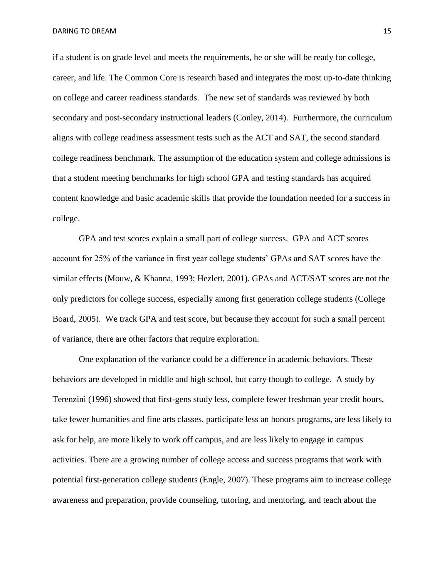if a student is on grade level and meets the requirements, he or she will be ready for college, career, and life. The Common Core is research based and integrates the most up-to-date thinking on college and career readiness standards. The new set of standards was reviewed by both secondary and post-secondary instructional leaders (Conley, 2014). Furthermore, the curriculum aligns with college readiness assessment tests such as the ACT and SAT, the second standard college readiness benchmark. The assumption of the education system and college admissions is that a student meeting benchmarks for high school GPA and testing standards has acquired content knowledge and basic academic skills that provide the foundation needed for a success in college.

GPA and test scores explain a small part of college success. GPA and ACT scores account for 25% of the variance in first year college students' GPAs and SAT scores have the similar effects (Mouw, & Khanna, 1993; Hezlett, 2001). GPAs and ACT/SAT scores are not the only predictors for college success, especially among first generation college students (College Board, 2005). We track GPA and test score, but because they account for such a small percent of variance, there are other factors that require exploration.

One explanation of the variance could be a difference in academic behaviors. These behaviors are developed in middle and high school, but carry though to college. A study by Terenzini (1996) showed that first-gens study less, complete fewer freshman year credit hours, take fewer humanities and fine arts classes, participate less an honors programs, are less likely to ask for help, are more likely to work off campus, and are less likely to engage in campus activities. There are a growing number of college access and success programs that work with potential first-generation college students (Engle, 2007). These programs aim to increase college awareness and preparation, provide counseling, tutoring, and mentoring, and teach about the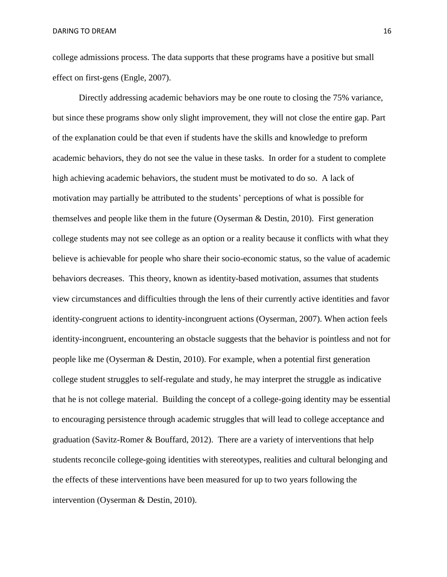college admissions process. The data supports that these programs have a positive but small effect on first-gens (Engle, 2007).

Directly addressing academic behaviors may be one route to closing the 75% variance, but since these programs show only slight improvement, they will not close the entire gap. Part of the explanation could be that even if students have the skills and knowledge to preform academic behaviors, they do not see the value in these tasks. In order for a student to complete high achieving academic behaviors, the student must be motivated to do so. A lack of motivation may partially be attributed to the students' perceptions of what is possible for themselves and people like them in the future (Oyserman & Destin, 2010). First generation college students may not see college as an option or a reality because it conflicts with what they believe is achievable for people who share their socio-economic status, so the value of academic behaviors decreases. This theory, known as identity-based motivation, assumes that students view circumstances and difficulties through the lens of their currently active identities and favor identity-congruent actions to identity-incongruent actions (Oyserman, 2007). When action feels identity-incongruent, encountering an obstacle suggests that the behavior is pointless and not for people like me (Oyserman & Destin, 2010). For example, when a potential first generation college student struggles to self-regulate and study, he may interpret the struggle as indicative that he is not college material. Building the concept of a college-going identity may be essential to encouraging persistence through academic struggles that will lead to college acceptance and graduation (Savitz-Romer & Bouffard, 2012). There are a variety of interventions that help students reconcile college-going identities with stereotypes, realities and cultural belonging and the effects of these interventions have been measured for up to two years following the intervention (Oyserman & Destin, 2010).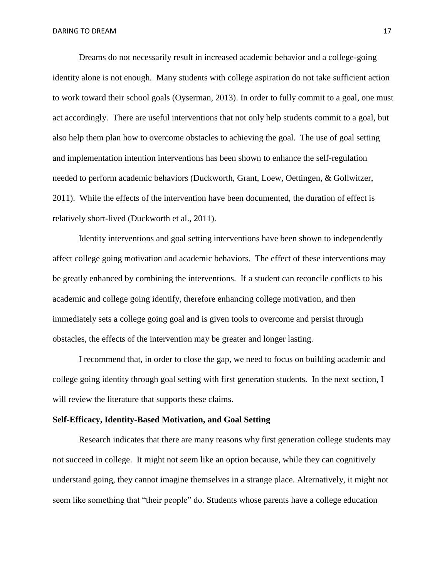Dreams do not necessarily result in increased academic behavior and a college-going identity alone is not enough. Many students with college aspiration do not take sufficient action to work toward their school goals (Oyserman, 2013). In order to fully commit to a goal, one must act accordingly. There are useful interventions that not only help students commit to a goal, but also help them plan how to overcome obstacles to achieving the goal. The use of goal setting and implementation intention interventions has been shown to enhance the self-regulation needed to perform academic behaviors (Duckworth, Grant, Loew, Oettingen, & Gollwitzer, 2011). While the effects of the intervention have been documented, the duration of effect is relatively short-lived (Duckworth et al., 2011).

Identity interventions and goal setting interventions have been shown to independently affect college going motivation and academic behaviors. The effect of these interventions may be greatly enhanced by combining the interventions. If a student can reconcile conflicts to his academic and college going identify, therefore enhancing college motivation, and then immediately sets a college going goal and is given tools to overcome and persist through obstacles, the effects of the intervention may be greater and longer lasting.

I recommend that, in order to close the gap, we need to focus on building academic and college going identity through goal setting with first generation students. In the next section, I will review the literature that supports these claims.

#### **Self-Efficacy, Identity-Based Motivation, and Goal Setting**

Research indicates that there are many reasons why first generation college students may not succeed in college. It might not seem like an option because, while they can cognitively understand going, they cannot imagine themselves in a strange place. Alternatively, it might not seem like something that "their people" do. Students whose parents have a college education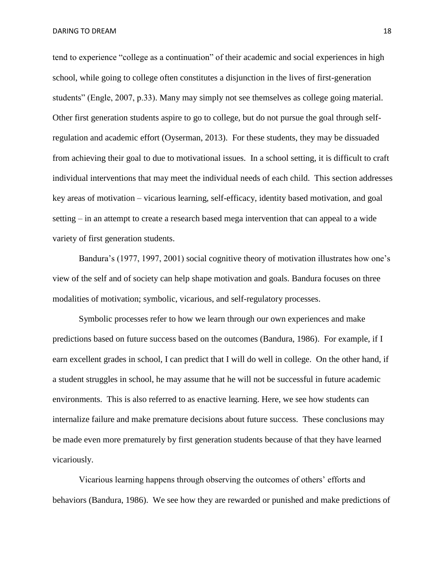tend to experience "college as a continuation" of their academic and social experiences in high school, while going to college often constitutes a disjunction in the lives of first-generation students" (Engle, 2007, p.33). Many may simply not see themselves as college going material. Other first generation students aspire to go to college, but do not pursue the goal through selfregulation and academic effort (Oyserman, 2013). For these students, they may be dissuaded from achieving their goal to due to motivational issues. In a school setting, it is difficult to craft individual interventions that may meet the individual needs of each child. This section addresses key areas of motivation – vicarious learning, self-efficacy, identity based motivation, and goal setting – in an attempt to create a research based mega intervention that can appeal to a wide variety of first generation students.

Bandura's (1977, 1997, 2001) social cognitive theory of motivation illustrates how one's view of the self and of society can help shape motivation and goals. Bandura focuses on three modalities of motivation; symbolic, vicarious, and self-regulatory processes.

Symbolic processes refer to how we learn through our own experiences and make predictions based on future success based on the outcomes (Bandura, 1986). For example, if I earn excellent grades in school, I can predict that I will do well in college. On the other hand, if a student struggles in school, he may assume that he will not be successful in future academic environments. This is also referred to as enactive learning. Here, we see how students can internalize failure and make premature decisions about future success. These conclusions may be made even more prematurely by first generation students because of that they have learned vicariously.

Vicarious learning happens through observing the outcomes of others' efforts and behaviors (Bandura, 1986). We see how they are rewarded or punished and make predictions of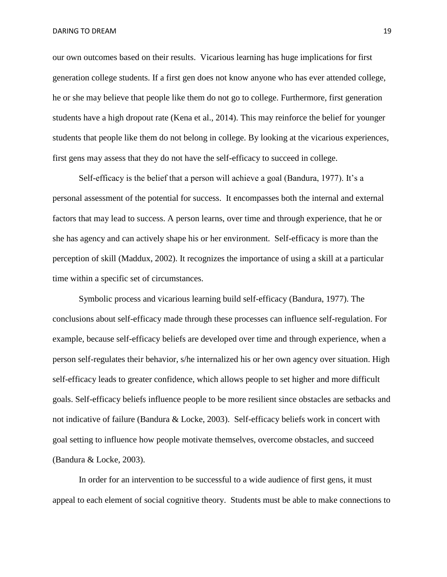our own outcomes based on their results. Vicarious learning has huge implications for first generation college students. If a first gen does not know anyone who has ever attended college, he or she may believe that people like them do not go to college. Furthermore, first generation students have a high dropout rate (Kena et al., 2014). This may reinforce the belief for younger students that people like them do not belong in college. By looking at the vicarious experiences, first gens may assess that they do not have the self-efficacy to succeed in college.

Self-efficacy is the belief that a person will achieve a goal (Bandura, 1977). It's a personal assessment of the potential for success. It encompasses both the internal and external factors that may lead to success. A person learns, over time and through experience, that he or she has agency and can actively shape his or her environment. Self-efficacy is more than the perception of skill (Maddux, 2002). It recognizes the importance of using a skill at a particular time within a specific set of circumstances.

Symbolic process and vicarious learning build self-efficacy (Bandura, 1977). The conclusions about self-efficacy made through these processes can influence self-regulation. For example, because self-efficacy beliefs are developed over time and through experience, when a person self-regulates their behavior, s/he internalized his or her own agency over situation. High self-efficacy leads to greater confidence, which allows people to set higher and more difficult goals. Self-efficacy beliefs influence people to be more resilient since obstacles are setbacks and not indicative of failure (Bandura & Locke, 2003). Self-efficacy beliefs work in concert with goal setting to influence how people motivate themselves, overcome obstacles, and succeed (Bandura & Locke, 2003).

In order for an intervention to be successful to a wide audience of first gens, it must appeal to each element of social cognitive theory. Students must be able to make connections to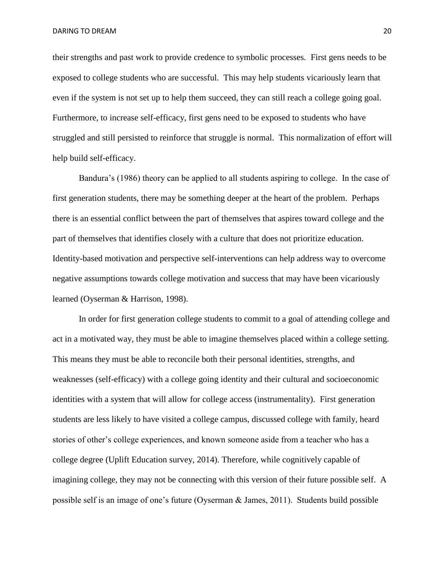their strengths and past work to provide credence to symbolic processes. First gens needs to be exposed to college students who are successful. This may help students vicariously learn that even if the system is not set up to help them succeed, they can still reach a college going goal. Furthermore, to increase self-efficacy, first gens need to be exposed to students who have struggled and still persisted to reinforce that struggle is normal. This normalization of effort will help build self-efficacy.

Bandura's (1986) theory can be applied to all students aspiring to college. In the case of first generation students, there may be something deeper at the heart of the problem. Perhaps there is an essential conflict between the part of themselves that aspires toward college and the part of themselves that identifies closely with a culture that does not prioritize education. Identity-based motivation and perspective self-interventions can help address way to overcome negative assumptions towards college motivation and success that may have been vicariously learned (Oyserman & Harrison, 1998).

In order for first generation college students to commit to a goal of attending college and act in a motivated way, they must be able to imagine themselves placed within a college setting. This means they must be able to reconcile both their personal identities, strengths, and weaknesses (self-efficacy) with a college going identity and their cultural and socioeconomic identities with a system that will allow for college access (instrumentality). First generation students are less likely to have visited a college campus, discussed college with family, heard stories of other's college experiences, and known someone aside from a teacher who has a college degree (Uplift Education survey, 2014). Therefore, while cognitively capable of imagining college, they may not be connecting with this version of their future possible self. A possible self is an image of one's future (Oyserman & James, 2011). Students build possible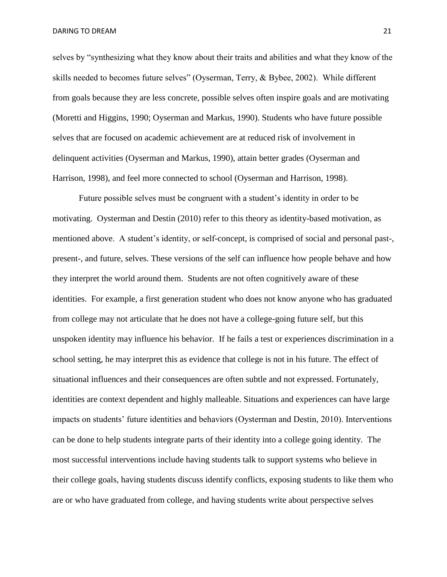selves by "synthesizing what they know about their traits and abilities and what they know of the skills needed to becomes future selves" (Oyserman, Terry, & Bybee, 2002). While different from goals because they are less concrete, possible selves often inspire goals and are motivating (Moretti and Higgins, 1990; Oyserman and Markus, 1990). Students who have future possible selves that are focused on academic achievement are at reduced risk of involvement in delinquent activities (Oyserman and Markus, 1990), attain better grades (Oyserman and Harrison, 1998), and feel more connected to school (Oyserman and Harrison, 1998).

Future possible selves must be congruent with a student's identity in order to be motivating. Oysterman and Destin (2010) refer to this theory as identity-based motivation, as mentioned above. A student's identity, or self-concept, is comprised of social and personal past-, present-, and future, selves. These versions of the self can influence how people behave and how they interpret the world around them. Students are not often cognitively aware of these identities. For example, a first generation student who does not know anyone who has graduated from college may not articulate that he does not have a college-going future self, but this unspoken identity may influence his behavior. If he fails a test or experiences discrimination in a school setting, he may interpret this as evidence that college is not in his future. The effect of situational influences and their consequences are often subtle and not expressed. Fortunately, identities are context dependent and highly malleable. Situations and experiences can have large impacts on students' future identities and behaviors (Oysterman and Destin, 2010). Interventions can be done to help students integrate parts of their identity into a college going identity. The most successful interventions include having students talk to support systems who believe in their college goals, having students discuss identify conflicts, exposing students to like them who are or who have graduated from college, and having students write about perspective selves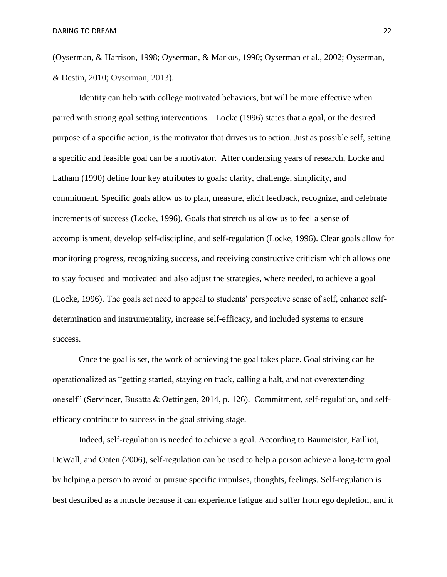(Oyserman, & Harrison, 1998; Oyserman, & Markus, 1990; Oyserman et al., 2002; Oyserman, & Destin, 2010; Oyserman, 2013).

Identity can help with college motivated behaviors, but will be more effective when paired with strong goal setting interventions. Locke (1996) states that a goal, or the desired purpose of a specific action, is the motivator that drives us to action. Just as possible self, setting a specific and feasible goal can be a motivator. After condensing years of research, Locke and Latham (1990) define four key attributes to goals: clarity, challenge, simplicity, and commitment. Specific goals allow us to plan, measure, elicit feedback, recognize, and celebrate increments of success (Locke, 1996). Goals that stretch us allow us to feel a sense of accomplishment, develop self-discipline, and self-regulation (Locke, 1996). Clear goals allow for monitoring progress, recognizing success, and receiving constructive criticism which allows one to stay focused and motivated and also adjust the strategies, where needed, to achieve a goal (Locke, 1996). The goals set need to appeal to students' perspective sense of self, enhance selfdetermination and instrumentality, increase self-efficacy, and included systems to ensure success.

Once the goal is set, the work of achieving the goal takes place. Goal striving can be operationalized as "getting started, staying on track, calling a halt, and not overextending oneself" (Servincer, Busatta & Oettingen, 2014, p. 126). Commitment, self-regulation, and selfefficacy contribute to success in the goal striving stage.

Indeed, self-regulation is needed to achieve a goal. According to Baumeister, Failliot, DeWall, and Oaten (2006), self-regulation can be used to help a person achieve a long-term goal by helping a person to avoid or pursue specific impulses, thoughts, feelings. Self-regulation is best described as a muscle because it can experience fatigue and suffer from ego depletion, and it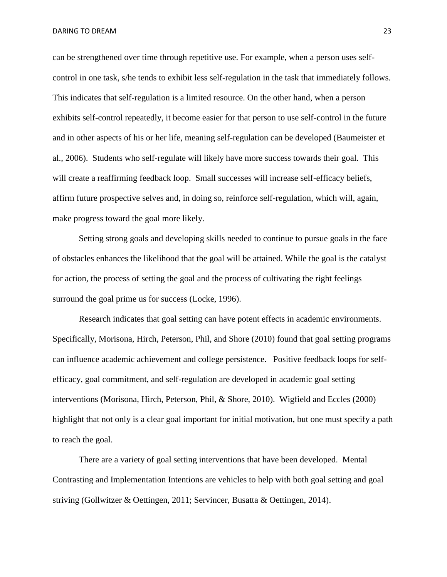can be strengthened over time through repetitive use. For example, when a person uses selfcontrol in one task, s/he tends to exhibit less self-regulation in the task that immediately follows. This indicates that self-regulation is a limited resource. On the other hand, when a person exhibits self-control repeatedly, it become easier for that person to use self-control in the future and in other aspects of his or her life, meaning self-regulation can be developed (Baumeister et al., 2006). Students who self-regulate will likely have more success towards their goal. This will create a reaffirming feedback loop. Small successes will increase self-efficacy beliefs, affirm future prospective selves and, in doing so, reinforce self-regulation, which will, again, make progress toward the goal more likely.

Setting strong goals and developing skills needed to continue to pursue goals in the face of obstacles enhances the likelihood that the goal will be attained. While the goal is the catalyst for action, the process of setting the goal and the process of cultivating the right feelings surround the goal prime us for success (Locke, 1996).

Research indicates that goal setting can have potent effects in academic environments. Specifically, Morisona, Hirch, Peterson, Phil, and Shore (2010) found that goal setting programs can influence academic achievement and college persistence. Positive feedback loops for selfefficacy, goal commitment, and self-regulation are developed in academic goal setting interventions (Morisona, Hirch, Peterson, Phil, & Shore, 2010). Wigfield and Eccles (2000) highlight that not only is a clear goal important for initial motivation, but one must specify a path to reach the goal.

There are a variety of goal setting interventions that have been developed. Mental Contrasting and Implementation Intentions are vehicles to help with both goal setting and goal striving (Gollwitzer & Oettingen, 2011; Servincer, Busatta & Oettingen, 2014).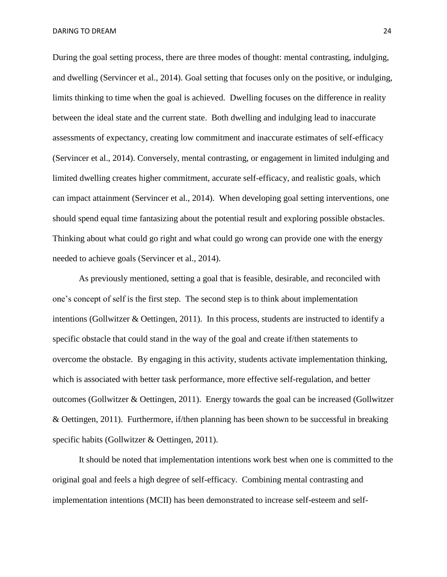During the goal setting process, there are three modes of thought: mental contrasting, indulging, and dwelling (Servincer et al., 2014). Goal setting that focuses only on the positive, or indulging, limits thinking to time when the goal is achieved. Dwelling focuses on the difference in reality between the ideal state and the current state. Both dwelling and indulging lead to inaccurate assessments of expectancy, creating low commitment and inaccurate estimates of self-efficacy (Servincer et al., 2014). Conversely, mental contrasting, or engagement in limited indulging and limited dwelling creates higher commitment, accurate self-efficacy, and realistic goals, which can impact attainment (Servincer et al., 2014). When developing goal setting interventions, one should spend equal time fantasizing about the potential result and exploring possible obstacles. Thinking about what could go right and what could go wrong can provide one with the energy needed to achieve goals (Servincer et al., 2014).

As previously mentioned, setting a goal that is feasible, desirable, and reconciled with one's concept of self is the first step. The second step is to think about implementation intentions (Gollwitzer & Oettingen, 2011). In this process, students are instructed to identify a specific obstacle that could stand in the way of the goal and create if/then statements to overcome the obstacle. By engaging in this activity, students activate implementation thinking, which is associated with better task performance, more effective self-regulation, and better outcomes (Gollwitzer & Oettingen, 2011). Energy towards the goal can be increased (Gollwitzer & Oettingen, 2011). Furthermore, if/then planning has been shown to be successful in breaking specific habits (Gollwitzer & Oettingen, 2011).

It should be noted that implementation intentions work best when one is committed to the original goal and feels a high degree of self-efficacy. Combining mental contrasting and implementation intentions (MCII) has been demonstrated to increase self-esteem and self-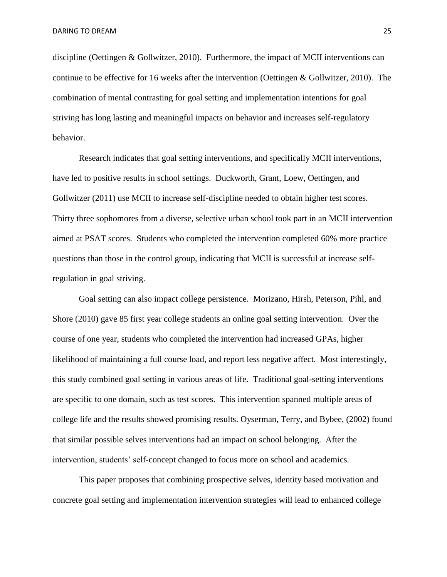discipline (Oettingen & Gollwitzer, 2010). Furthermore, the impact of MCII interventions can continue to be effective for 16 weeks after the intervention (Oettingen & Gollwitzer, 2010). The combination of mental contrasting for goal setting and implementation intentions for goal striving has long lasting and meaningful impacts on behavior and increases self-regulatory behavior.

Research indicates that goal setting interventions, and specifically MCII interventions, have led to positive results in school settings. Duckworth, Grant, Loew, Oettingen, and Gollwitzer (2011) use MCII to increase self-discipline needed to obtain higher test scores. Thirty three sophomores from a diverse, selective urban school took part in an MCII intervention aimed at PSAT scores. Students who completed the intervention completed 60% more practice questions than those in the control group, indicating that MCII is successful at increase selfregulation in goal striving.

Goal setting can also impact college persistence. Morizano, Hirsh, Peterson, Pihl, and Shore (2010) gave 85 first year college students an online goal setting intervention. Over the course of one year, students who completed the intervention had increased GPAs, higher likelihood of maintaining a full course load, and report less negative affect. Most interestingly, this study combined goal setting in various areas of life. Traditional goal-setting interventions are specific to one domain, such as test scores. This intervention spanned multiple areas of college life and the results showed promising results. Oyserman, Terry, and Bybee, (2002) found that similar possible selves interventions had an impact on school belonging. After the intervention, students' self-concept changed to focus more on school and academics.

This paper proposes that combining prospective selves, identity based motivation and concrete goal setting and implementation intervention strategies will lead to enhanced college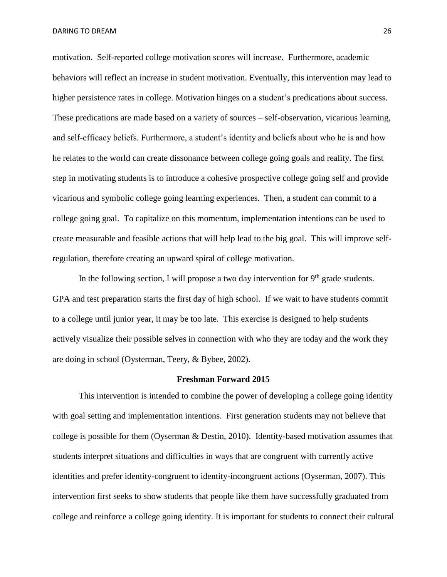motivation. Self-reported college motivation scores will increase. Furthermore, academic behaviors will reflect an increase in student motivation. Eventually, this intervention may lead to higher persistence rates in college. Motivation hinges on a student's predications about success. These predications are made based on a variety of sources – self-observation, vicarious learning, and self-efficacy beliefs. Furthermore, a student's identity and beliefs about who he is and how he relates to the world can create dissonance between college going goals and reality. The first step in motivating students is to introduce a cohesive prospective college going self and provide vicarious and symbolic college going learning experiences. Then, a student can commit to a college going goal. To capitalize on this momentum, implementation intentions can be used to create measurable and feasible actions that will help lead to the big goal. This will improve selfregulation, therefore creating an upward spiral of college motivation.

In the following section, I will propose a two day intervention for  $9<sup>th</sup>$  grade students. GPA and test preparation starts the first day of high school. If we wait to have students commit to a college until junior year, it may be too late. This exercise is designed to help students actively visualize their possible selves in connection with who they are today and the work they are doing in school (Oysterman, Teery, & Bybee, 2002).

#### **Freshman Forward 2015**

This intervention is intended to combine the power of developing a college going identity with goal setting and implementation intentions. First generation students may not believe that college is possible for them (Oyserman & Destin, 2010). Identity-based motivation assumes that students interpret situations and difficulties in ways that are congruent with currently active identities and prefer identity-congruent to identity-incongruent actions (Oyserman, 2007). This intervention first seeks to show students that people like them have successfully graduated from college and reinforce a college going identity. It is important for students to connect their cultural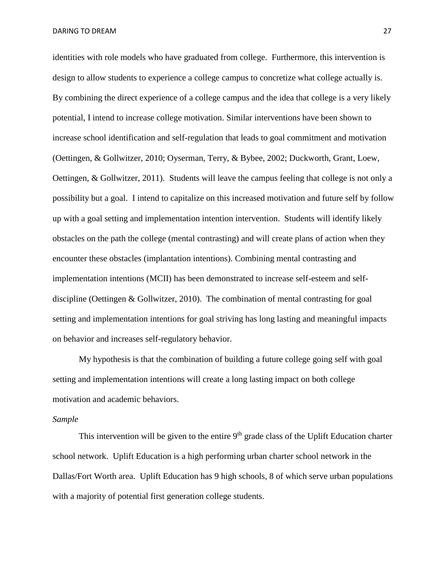identities with role models who have graduated from college. Furthermore, this intervention is design to allow students to experience a college campus to concretize what college actually is. By combining the direct experience of a college campus and the idea that college is a very likely potential, I intend to increase college motivation. Similar interventions have been shown to increase school identification and self-regulation that leads to goal commitment and motivation (Oettingen, & Gollwitzer, 2010; Oyserman, Terry, & Bybee, 2002; Duckworth, Grant, Loew, Oettingen, & Gollwitzer, 2011). Students will leave the campus feeling that college is not only a possibility but a goal. I intend to capitalize on this increased motivation and future self by follow up with a goal setting and implementation intention intervention. Students will identify likely obstacles on the path the college (mental contrasting) and will create plans of action when they encounter these obstacles (implantation intentions). Combining mental contrasting and implementation intentions (MCII) has been demonstrated to increase self-esteem and selfdiscipline (Oettingen & Gollwitzer, 2010). The combination of mental contrasting for goal setting and implementation intentions for goal striving has long lasting and meaningful impacts on behavior and increases self-regulatory behavior.

My hypothesis is that the combination of building a future college going self with goal setting and implementation intentions will create a long lasting impact on both college motivation and academic behaviors.

#### *Sample*

This intervention will be given to the entire  $9<sup>th</sup>$  grade class of the Uplift Education charter school network. Uplift Education is a high performing urban charter school network in the Dallas/Fort Worth area. Uplift Education has 9 high schools, 8 of which serve urban populations with a majority of potential first generation college students.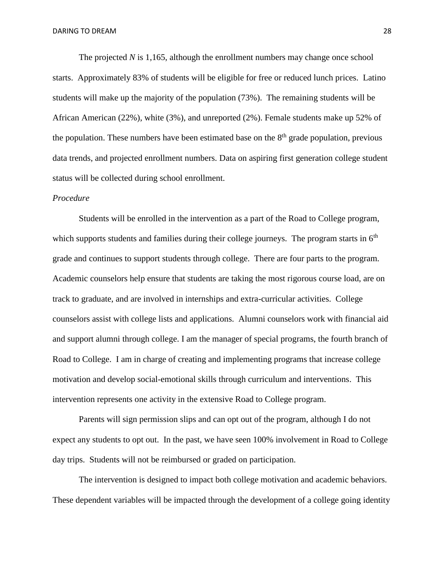The projected *N* is 1,165, although the enrollment numbers may change once school starts. Approximately 83% of students will be eligible for free or reduced lunch prices. Latino students will make up the majority of the population (73%). The remaining students will be African American (22%), white (3%), and unreported (2%). Female students make up 52% of the population. These numbers have been estimated base on the  $8<sup>th</sup>$  grade population, previous data trends, and projected enrollment numbers. Data on aspiring first generation college student status will be collected during school enrollment.

#### *Procedure*

Students will be enrolled in the intervention as a part of the Road to College program, which supports students and families during their college journeys. The program starts in  $6<sup>th</sup>$ grade and continues to support students through college. There are four parts to the program. Academic counselors help ensure that students are taking the most rigorous course load, are on track to graduate, and are involved in internships and extra-curricular activities. College counselors assist with college lists and applications. Alumni counselors work with financial aid and support alumni through college. I am the manager of special programs, the fourth branch of Road to College. I am in charge of creating and implementing programs that increase college motivation and develop social-emotional skills through curriculum and interventions. This intervention represents one activity in the extensive Road to College program.

Parents will sign permission slips and can opt out of the program, although I do not expect any students to opt out. In the past, we have seen 100% involvement in Road to College day trips. Students will not be reimbursed or graded on participation.

The intervention is designed to impact both college motivation and academic behaviors. These dependent variables will be impacted through the development of a college going identity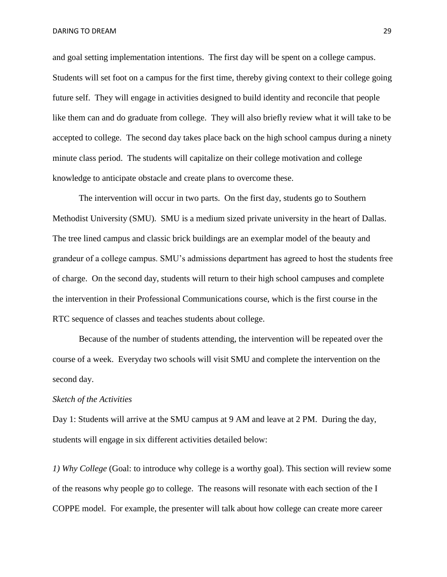and goal setting implementation intentions. The first day will be spent on a college campus. Students will set foot on a campus for the first time, thereby giving context to their college going future self. They will engage in activities designed to build identity and reconcile that people like them can and do graduate from college. They will also briefly review what it will take to be accepted to college. The second day takes place back on the high school campus during a ninety minute class period. The students will capitalize on their college motivation and college knowledge to anticipate obstacle and create plans to overcome these.

The intervention will occur in two parts. On the first day, students go to Southern Methodist University (SMU). SMU is a medium sized private university in the heart of Dallas. The tree lined campus and classic brick buildings are an exemplar model of the beauty and grandeur of a college campus. SMU's admissions department has agreed to host the students free of charge. On the second day, students will return to their high school campuses and complete the intervention in their Professional Communications course, which is the first course in the RTC sequence of classes and teaches students about college.

Because of the number of students attending, the intervention will be repeated over the course of a week. Everyday two schools will visit SMU and complete the intervention on the second day.

#### *Sketch of the Activities*

Day 1: Students will arrive at the SMU campus at 9 AM and leave at 2 PM. During the day, students will engage in six different activities detailed below:

*1) Why College* (Goal: to introduce why college is a worthy goal). This section will review some of the reasons why people go to college. The reasons will resonate with each section of the I COPPE model. For example, the presenter will talk about how college can create more career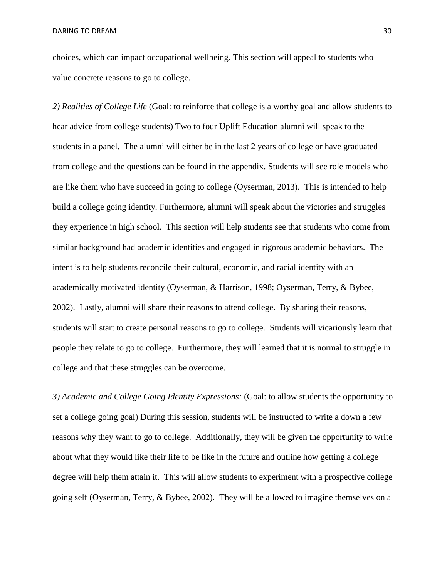choices, which can impact occupational wellbeing. This section will appeal to students who value concrete reasons to go to college.

*2) Realities of College Life* (Goal: to reinforce that college is a worthy goal and allow students to hear advice from college students) Two to four Uplift Education alumni will speak to the students in a panel. The alumni will either be in the last 2 years of college or have graduated from college and the questions can be found in the appendix. Students will see role models who are like them who have succeed in going to college (Oyserman, 2013). This is intended to help build a college going identity. Furthermore, alumni will speak about the victories and struggles they experience in high school. This section will help students see that students who come from similar background had academic identities and engaged in rigorous academic behaviors. The intent is to help students reconcile their cultural, economic, and racial identity with an academically motivated identity (Oyserman, & Harrison, 1998; Oyserman, Terry, & Bybee, 2002). Lastly, alumni will share their reasons to attend college. By sharing their reasons, students will start to create personal reasons to go to college. Students will vicariously learn that people they relate to go to college. Furthermore, they will learned that it is normal to struggle in college and that these struggles can be overcome.

*3) Academic and College Going Identity Expressions:* (Goal: to allow students the opportunity to set a college going goal) During this session, students will be instructed to write a down a few reasons why they want to go to college. Additionally, they will be given the opportunity to write about what they would like their life to be like in the future and outline how getting a college degree will help them attain it. This will allow students to experiment with a prospective college going self (Oyserman, Terry, & Bybee, 2002). They will be allowed to imagine themselves on a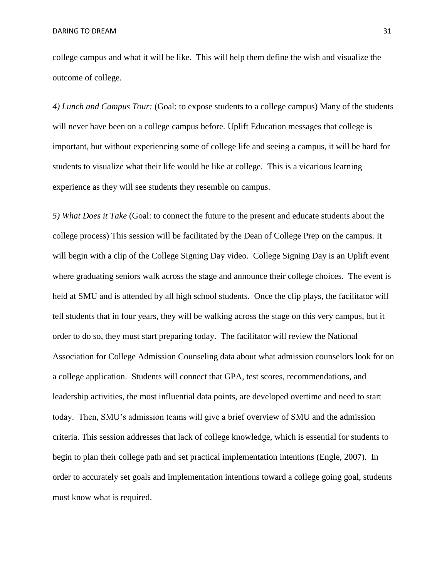college campus and what it will be like. This will help them define the wish and visualize the outcome of college.

*4) Lunch and Campus Tour:* (Goal: to expose students to a college campus) Many of the students will never have been on a college campus before. Uplift Education messages that college is important, but without experiencing some of college life and seeing a campus, it will be hard for students to visualize what their life would be like at college. This is a vicarious learning experience as they will see students they resemble on campus.

*5) What Does it Take* (Goal: to connect the future to the present and educate students about the college process) This session will be facilitated by the Dean of College Prep on the campus. It will begin with a clip of the College Signing Day video. College Signing Day is an Uplift event where graduating seniors walk across the stage and announce their college choices. The event is held at SMU and is attended by all high school students. Once the clip plays, the facilitator will tell students that in four years, they will be walking across the stage on this very campus, but it order to do so, they must start preparing today. The facilitator will review the National Association for College Admission Counseling data about what admission counselors look for on a college application. Students will connect that GPA, test scores, recommendations, and leadership activities, the most influential data points, are developed overtime and need to start today. Then, SMU's admission teams will give a brief overview of SMU and the admission criteria. This session addresses that lack of college knowledge, which is essential for students to begin to plan their college path and set practical implementation intentions (Engle, 2007). In order to accurately set goals and implementation intentions toward a college going goal, students must know what is required.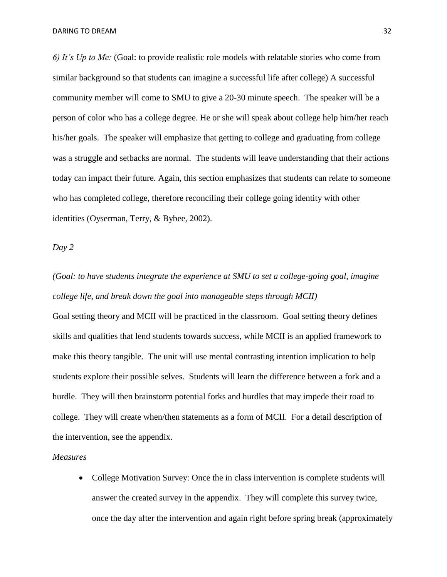*6) It's Up to Me:* (Goal: to provide realistic role models with relatable stories who come from similar background so that students can imagine a successful life after college) A successful community member will come to SMU to give a 20-30 minute speech. The speaker will be a person of color who has a college degree. He or she will speak about college help him/her reach his/her goals. The speaker will emphasize that getting to college and graduating from college was a struggle and setbacks are normal. The students will leave understanding that their actions today can impact their future. Again, this section emphasizes that students can relate to someone who has completed college, therefore reconciling their college going identity with other identities (Oyserman, Terry, & Bybee, 2002).

#### *Day 2*

# *(Goal: to have students integrate the experience at SMU to set a college-going goal, imagine college life, and break down the goal into manageable steps through MCII)*

Goal setting theory and MCII will be practiced in the classroom. Goal setting theory defines skills and qualities that lend students towards success, while MCII is an applied framework to make this theory tangible. The unit will use mental contrasting intention implication to help students explore their possible selves. Students will learn the difference between a fork and a hurdle. They will then brainstorm potential forks and hurdles that may impede their road to college. They will create when/then statements as a form of MCII. For a detail description of the intervention, see the appendix.

#### *Measures*

• College Motivation Survey: Once the in class intervention is complete students will answer the created survey in the appendix. They will complete this survey twice, once the day after the intervention and again right before spring break (approximately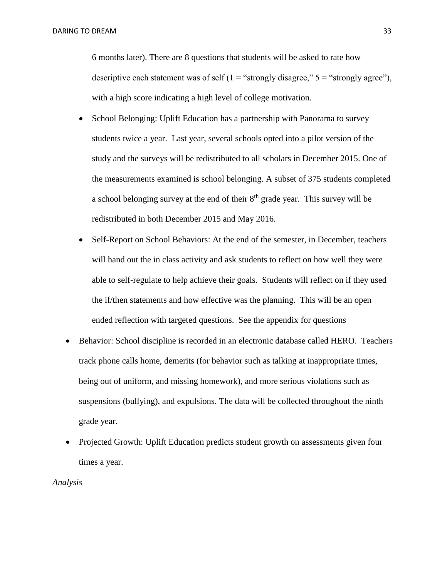6 months later). There are 8 questions that students will be asked to rate how descriptive each statement was of self  $(1 = "strongly disagree," 5 = "strongly agree")$ , with a high score indicating a high level of college motivation.

- School Belonging: Uplift Education has a partnership with Panorama to survey students twice a year. Last year, several schools opted into a pilot version of the study and the surveys will be redistributed to all scholars in December 2015. One of the measurements examined is school belonging. A subset of 375 students completed a school belonging survey at the end of their 8<sup>th</sup> grade year. This survey will be redistributed in both December 2015 and May 2016.
- Self-Report on School Behaviors: At the end of the semester, in December, teachers will hand out the in class activity and ask students to reflect on how well they were able to self-regulate to help achieve their goals. Students will reflect on if they used the if/then statements and how effective was the planning. This will be an open ended reflection with targeted questions. See the appendix for questions
- Behavior: School discipline is recorded in an electronic database called HERO. Teachers track phone calls home, demerits (for behavior such as talking at inappropriate times, being out of uniform, and missing homework), and more serious violations such as suspensions (bullying), and expulsions. The data will be collected throughout the ninth grade year.
- Projected Growth: Uplift Education predicts student growth on assessments given four times a year.

#### *Analysis*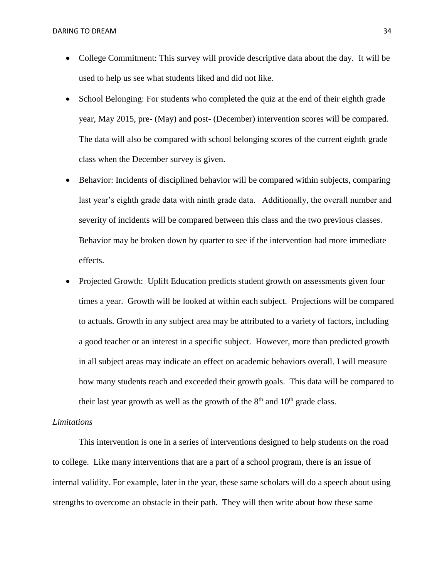- College Commitment: This survey will provide descriptive data about the day. It will be used to help us see what students liked and did not like.
- School Belonging: For students who completed the quiz at the end of their eighth grade year, May 2015, pre- (May) and post- (December) intervention scores will be compared. The data will also be compared with school belonging scores of the current eighth grade class when the December survey is given.
- Behavior: Incidents of disciplined behavior will be compared within subjects, comparing last year's eighth grade data with ninth grade data. Additionally, the overall number and severity of incidents will be compared between this class and the two previous classes. Behavior may be broken down by quarter to see if the intervention had more immediate effects.
- Projected Growth: Uplift Education predicts student growth on assessments given four times a year. Growth will be looked at within each subject. Projections will be compared to actuals. Growth in any subject area may be attributed to a variety of factors, including a good teacher or an interest in a specific subject. However, more than predicted growth in all subject areas may indicate an effect on academic behaviors overall. I will measure how many students reach and exceeded their growth goals. This data will be compared to their last year growth as well as the growth of the  $8<sup>th</sup>$  and  $10<sup>th</sup>$  grade class.

#### *Limitations*

This intervention is one in a series of interventions designed to help students on the road to college. Like many interventions that are a part of a school program, there is an issue of internal validity. For example, later in the year, these same scholars will do a speech about using strengths to overcome an obstacle in their path. They will then write about how these same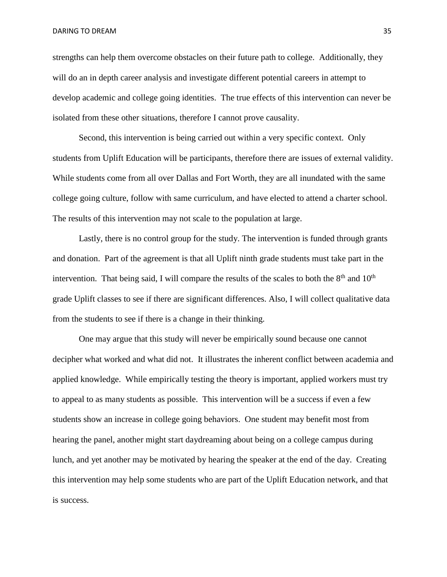strengths can help them overcome obstacles on their future path to college. Additionally, they will do an in depth career analysis and investigate different potential careers in attempt to develop academic and college going identities. The true effects of this intervention can never be isolated from these other situations, therefore I cannot prove causality.

Second, this intervention is being carried out within a very specific context. Only students from Uplift Education will be participants, therefore there are issues of external validity. While students come from all over Dallas and Fort Worth, they are all inundated with the same college going culture, follow with same curriculum, and have elected to attend a charter school. The results of this intervention may not scale to the population at large.

Lastly, there is no control group for the study. The intervention is funded through grants and donation. Part of the agreement is that all Uplift ninth grade students must take part in the intervention. That being said, I will compare the results of the scales to both the  $8<sup>th</sup>$  and  $10<sup>th</sup>$ grade Uplift classes to see if there are significant differences. Also, I will collect qualitative data from the students to see if there is a change in their thinking.

One may argue that this study will never be empirically sound because one cannot decipher what worked and what did not. It illustrates the inherent conflict between academia and applied knowledge. While empirically testing the theory is important, applied workers must try to appeal to as many students as possible. This intervention will be a success if even a few students show an increase in college going behaviors. One student may benefit most from hearing the panel, another might start daydreaming about being on a college campus during lunch, and yet another may be motivated by hearing the speaker at the end of the day. Creating this intervention may help some students who are part of the Uplift Education network, and that is success.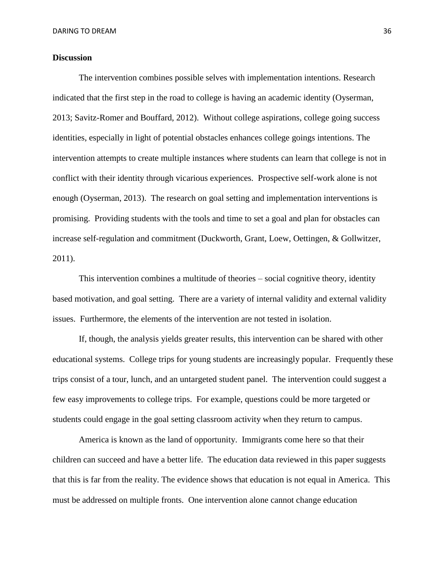#### **Discussion**

The intervention combines possible selves with implementation intentions. Research indicated that the first step in the road to college is having an academic identity (Oyserman, 2013; Savitz-Romer and Bouffard, 2012). Without college aspirations, college going success identities, especially in light of potential obstacles enhances college goings intentions. The intervention attempts to create multiple instances where students can learn that college is not in conflict with their identity through vicarious experiences. Prospective self-work alone is not enough (Oyserman, 2013). The research on goal setting and implementation interventions is promising. Providing students with the tools and time to set a goal and plan for obstacles can increase self-regulation and commitment (Duckworth, Grant, Loew, Oettingen, & Gollwitzer, 2011).

This intervention combines a multitude of theories – social cognitive theory, identity based motivation, and goal setting. There are a variety of internal validity and external validity issues. Furthermore, the elements of the intervention are not tested in isolation.

If, though, the analysis yields greater results, this intervention can be shared with other educational systems. College trips for young students are increasingly popular. Frequently these trips consist of a tour, lunch, and an untargeted student panel. The intervention could suggest a few easy improvements to college trips. For example, questions could be more targeted or students could engage in the goal setting classroom activity when they return to campus.

America is known as the land of opportunity. Immigrants come here so that their children can succeed and have a better life. The education data reviewed in this paper suggests that this is far from the reality. The evidence shows that education is not equal in America. This must be addressed on multiple fronts. One intervention alone cannot change education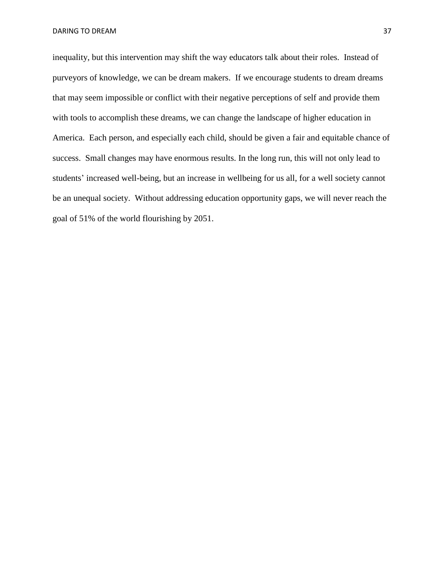inequality, but this intervention may shift the way educators talk about their roles. Instead of purveyors of knowledge, we can be dream makers. If we encourage students to dream dreams that may seem impossible or conflict with their negative perceptions of self and provide them with tools to accomplish these dreams, we can change the landscape of higher education in America. Each person, and especially each child, should be given a fair and equitable chance of success. Small changes may have enormous results. In the long run, this will not only lead to students' increased well-being, but an increase in wellbeing for us all, for a well society cannot be an unequal society. Without addressing education opportunity gaps, we will never reach the goal of 51% of the world flourishing by 2051.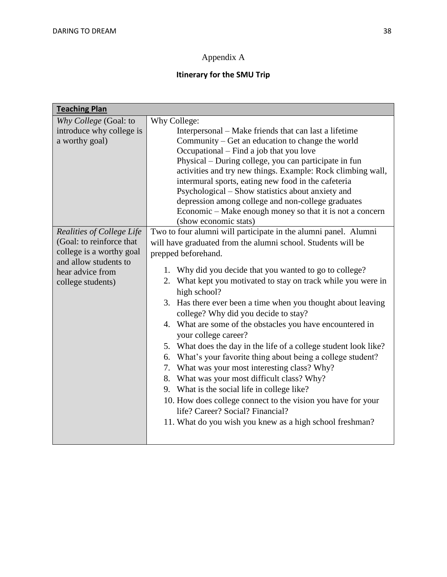# Appendix A

# **Itinerary for the SMU Trip**

| <b>Teaching Plan</b>      |                                                                  |  |  |  |  |
|---------------------------|------------------------------------------------------------------|--|--|--|--|
| Why College (Goal: to     | Why College:                                                     |  |  |  |  |
| introduce why college is  | Interpersonal – Make friends that can last a lifetime            |  |  |  |  |
| a worthy goal)            | Community – Get an education to change the world                 |  |  |  |  |
|                           | Occupational – Find a job that you love                          |  |  |  |  |
|                           | Physical – During college, you can participate in fun            |  |  |  |  |
|                           | activities and try new things. Example: Rock climbing wall,      |  |  |  |  |
|                           | intermural sports, eating new food in the cafeteria              |  |  |  |  |
|                           | Psychological – Show statistics about anxiety and                |  |  |  |  |
|                           | depression among college and non-college graduates               |  |  |  |  |
|                           | Economic – Make enough money so that it is not a concern         |  |  |  |  |
|                           | (show economic stats)                                            |  |  |  |  |
| Realities of College Life | Two to four alumni will participate in the alumni panel. Alumni  |  |  |  |  |
| (Goal: to reinforce that  | will have graduated from the alumni school. Students will be     |  |  |  |  |
| college is a worthy goal  | prepped beforehand.                                              |  |  |  |  |
| and allow students to     | 1. Why did you decide that you wanted to go to college?          |  |  |  |  |
| hear advice from          | 2. What kept you motivated to stay on track while you were in    |  |  |  |  |
| college students)         | high school?                                                     |  |  |  |  |
|                           | 3. Has there ever been a time when you thought about leaving     |  |  |  |  |
|                           | college? Why did you decide to stay?                             |  |  |  |  |
|                           | 4. What are some of the obstacles you have encountered in        |  |  |  |  |
|                           | your college career?                                             |  |  |  |  |
|                           | 5. What does the day in the life of a college student look like? |  |  |  |  |
|                           | 6. What's your favorite thing about being a college student?     |  |  |  |  |
|                           | 7. What was your most interesting class? Why?                    |  |  |  |  |
|                           | 8. What was your most difficult class? Why?                      |  |  |  |  |
|                           | 9. What is the social life in college like?                      |  |  |  |  |
|                           | 10. How does college connect to the vision you have for your     |  |  |  |  |
|                           | life? Career? Social? Financial?                                 |  |  |  |  |
|                           | 11. What do you wish you knew as a high school freshman?         |  |  |  |  |
|                           |                                                                  |  |  |  |  |
|                           |                                                                  |  |  |  |  |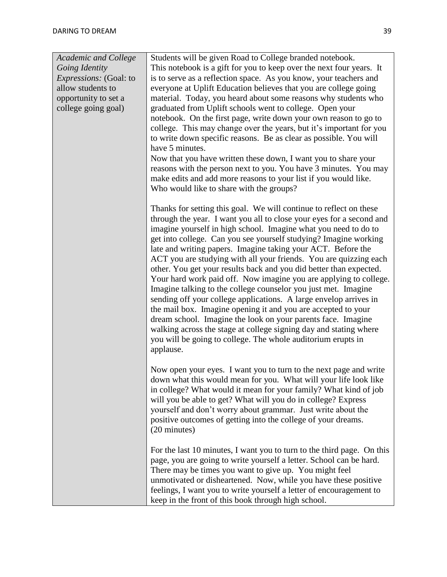| <b>Academic and College</b>   | Students will be given Road to College branded notebook.                                                                                      |  |  |  |
|-------------------------------|-----------------------------------------------------------------------------------------------------------------------------------------------|--|--|--|
| Going Identity                | This notebook is a gift for you to keep over the next four years. It                                                                          |  |  |  |
| <i>Expressions:</i> (Goal: to | is to serve as a reflection space. As you know, your teachers and                                                                             |  |  |  |
| allow students to             | everyone at Uplift Education believes that you are college going                                                                              |  |  |  |
| opportunity to set a          | material. Today, you heard about some reasons why students who                                                                                |  |  |  |
| college going goal)           | graduated from Uplift schools went to college. Open your                                                                                      |  |  |  |
|                               | notebook. On the first page, write down your own reason to go to                                                                              |  |  |  |
|                               | college. This may change over the years, but it's important for you                                                                           |  |  |  |
|                               | to write down specific reasons. Be as clear as possible. You will                                                                             |  |  |  |
|                               | have 5 minutes.                                                                                                                               |  |  |  |
|                               | Now that you have written these down, I want you to share your                                                                                |  |  |  |
|                               | reasons with the person next to you. You have 3 minutes. You may                                                                              |  |  |  |
|                               | make edits and add more reasons to your list if you would like.                                                                               |  |  |  |
|                               | Who would like to share with the groups?                                                                                                      |  |  |  |
|                               | Thanks for setting this goal. We will continue to reflect on these                                                                            |  |  |  |
|                               | through the year. I want you all to close your eyes for a second and                                                                          |  |  |  |
|                               | imagine yourself in high school. Imagine what you need to do to                                                                               |  |  |  |
|                               | get into college. Can you see yourself studying? Imagine working                                                                              |  |  |  |
|                               | late and writing papers. Imagine taking your ACT. Before the                                                                                  |  |  |  |
|                               | ACT you are studying with all your friends. You are quizzing each                                                                             |  |  |  |
|                               | other. You get your results back and you did better than expected.                                                                            |  |  |  |
|                               | Your hard work paid off. Now imagine you are applying to college.                                                                             |  |  |  |
|                               | Imagine talking to the college counselor you just met. Imagine                                                                                |  |  |  |
|                               | sending off your college applications. A large envelop arrives in                                                                             |  |  |  |
|                               | the mail box. Imagine opening it and you are accepted to your                                                                                 |  |  |  |
|                               | dream school. Imagine the look on your parents face. Imagine                                                                                  |  |  |  |
|                               | walking across the stage at college signing day and stating where                                                                             |  |  |  |
|                               | you will be going to college. The whole auditorium erupts in                                                                                  |  |  |  |
|                               | applause.                                                                                                                                     |  |  |  |
|                               | Now open your eyes. I want you to turn to the next page and write                                                                             |  |  |  |
|                               | down what this would mean for you. What will your life look like                                                                              |  |  |  |
|                               | in college? What would it mean for your family? What kind of job                                                                              |  |  |  |
|                               | will you be able to get? What will you do in college? Express                                                                                 |  |  |  |
|                               | yourself and don't worry about grammar. Just write about the                                                                                  |  |  |  |
|                               | positive outcomes of getting into the college of your dreams.                                                                                 |  |  |  |
|                               | (20 minutes)                                                                                                                                  |  |  |  |
|                               |                                                                                                                                               |  |  |  |
|                               | For the last 10 minutes, I want you to turn to the third page. On this<br>page, you are going to write yourself a letter. School can be hard. |  |  |  |
|                               | There may be times you want to give up. You might feel                                                                                        |  |  |  |
|                               | unmotivated or disheartened. Now, while you have these positive                                                                               |  |  |  |
|                               | feelings, I want you to write yourself a letter of encouragement to                                                                           |  |  |  |
|                               | keep in the front of this book through high school.                                                                                           |  |  |  |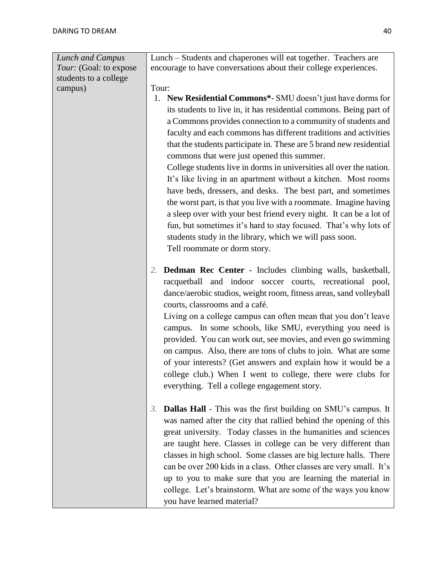| Lunch and Campus       | Lunch – Students and chaperones will eat together. Teachers are     |  |  |  |  |  |
|------------------------|---------------------------------------------------------------------|--|--|--|--|--|
| Tour: (Goal: to expose | encourage to have conversations about their college experiences.    |  |  |  |  |  |
| students to a college  |                                                                     |  |  |  |  |  |
| campus)                | Tour:                                                               |  |  |  |  |  |
|                        | 1. New Residential Commons*- SMU doesn't just have dorms for        |  |  |  |  |  |
|                        | its students to live in, it has residential commons. Being part of  |  |  |  |  |  |
|                        | a Commons provides connection to a community of students and        |  |  |  |  |  |
|                        | faculty and each commons has different traditions and activities    |  |  |  |  |  |
|                        | that the students participate in. These are 5 brand new residential |  |  |  |  |  |
|                        | commons that were just opened this summer.                          |  |  |  |  |  |
|                        | College students live in dorms in universities all over the nation. |  |  |  |  |  |
|                        | It's like living in an apartment without a kitchen. Most rooms      |  |  |  |  |  |
|                        | have beds, dressers, and desks. The best part, and sometimes        |  |  |  |  |  |
|                        | the worst part, is that you live with a roommate. Imagine having    |  |  |  |  |  |
|                        | a sleep over with your best friend every night. It can be a lot of  |  |  |  |  |  |
|                        | fun, but sometimes it's hard to stay focused. That's why lots of    |  |  |  |  |  |
|                        | students study in the library, which we will pass soon.             |  |  |  |  |  |
|                        | Tell roommate or dorm story.                                        |  |  |  |  |  |
|                        |                                                                     |  |  |  |  |  |
|                        | Dedman Rec Center - Includes climbing walls, basketball,<br>2.      |  |  |  |  |  |
|                        | racquetball and indoor soccer courts, recreational pool,            |  |  |  |  |  |
|                        | dance/aerobic studios, weight room, fitness areas, sand volleyball  |  |  |  |  |  |
|                        | courts, classrooms and a café.                                      |  |  |  |  |  |
|                        | Living on a college campus can often mean that you don't leave      |  |  |  |  |  |
|                        | campus. In some schools, like SMU, everything you need is           |  |  |  |  |  |
|                        | provided. You can work out, see movies, and even go swimming        |  |  |  |  |  |
|                        | on campus. Also, there are tons of clubs to join. What are some     |  |  |  |  |  |
|                        | of your interests? (Get answers and explain how it would be a       |  |  |  |  |  |
|                        | college club.) When I went to college, there were clubs for         |  |  |  |  |  |
|                        | everything. Tell a college engagement story.                        |  |  |  |  |  |
|                        |                                                                     |  |  |  |  |  |
|                        | Dallas Hall - This was the first building on SMU's campus. It<br>3. |  |  |  |  |  |
|                        | was named after the city that rallied behind the opening of this    |  |  |  |  |  |
|                        | great university. Today classes in the humanities and sciences      |  |  |  |  |  |
|                        | are taught here. Classes in college can be very different than      |  |  |  |  |  |
|                        | classes in high school. Some classes are big lecture halls. There   |  |  |  |  |  |
|                        | can be over 200 kids in a class. Other classes are very small. It's |  |  |  |  |  |
|                        | up to you to make sure that you are learning the material in        |  |  |  |  |  |
|                        | college. Let's brainstorm. What are some of the ways you know       |  |  |  |  |  |
|                        | you have learned material?                                          |  |  |  |  |  |
|                        |                                                                     |  |  |  |  |  |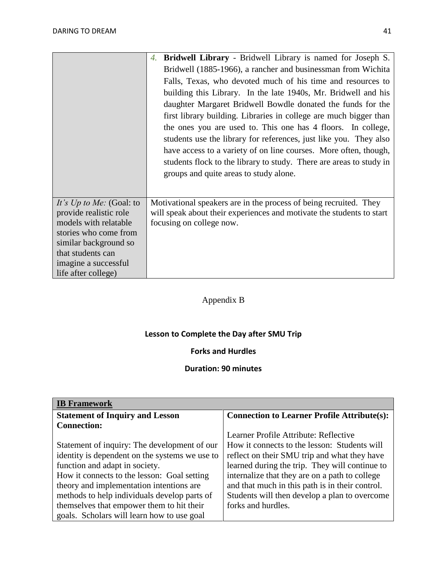|                                                 | <b>Bridwell Library</b> - Bridwell Library is named for Joseph S.<br>4.                           |  |  |  |  |  |
|-------------------------------------------------|---------------------------------------------------------------------------------------------------|--|--|--|--|--|
|                                                 | Bridwell (1885-1966), a rancher and businessman from Wichita                                      |  |  |  |  |  |
|                                                 | Falls, Texas, who devoted much of his time and resources to                                       |  |  |  |  |  |
|                                                 | building this Library. In the late 1940s, Mr. Bridwell and his                                    |  |  |  |  |  |
|                                                 | daughter Margaret Bridwell Bowdle donated the funds for the                                       |  |  |  |  |  |
|                                                 | first library building. Libraries in college are much bigger than                                 |  |  |  |  |  |
|                                                 | the ones you are used to. This one has 4 floors. In college,                                      |  |  |  |  |  |
|                                                 | students use the library for references, just like you. They also                                 |  |  |  |  |  |
|                                                 | have access to a variety of on line courses. More often, though,                                  |  |  |  |  |  |
|                                                 | students flock to the library to study. There are areas to study in                               |  |  |  |  |  |
|                                                 | groups and quite areas to study alone.                                                            |  |  |  |  |  |
|                                                 |                                                                                                   |  |  |  |  |  |
|                                                 |                                                                                                   |  |  |  |  |  |
| It's Up to Me: (Goal: to                        | Motivational speakers are in the process of being recruited. They                                 |  |  |  |  |  |
| provide realistic role<br>models with relatable | will speak about their experiences and motivate the students to start<br>focusing on college now. |  |  |  |  |  |
| stories who come from                           |                                                                                                   |  |  |  |  |  |
| similar background so                           |                                                                                                   |  |  |  |  |  |
| that students can                               |                                                                                                   |  |  |  |  |  |
| imagine a successful                            |                                                                                                   |  |  |  |  |  |
| life after college)                             |                                                                                                   |  |  |  |  |  |

# Appendix B

# **Lesson to Complete the Day after SMU Trip**

# **Forks and Hurdles**

# **Duration: 90 minutes**

| <b>IB</b> Framework                            |                                                    |  |  |
|------------------------------------------------|----------------------------------------------------|--|--|
| <b>Statement of Inquiry and Lesson</b>         | <b>Connection to Learner Profile Attribute(s):</b> |  |  |
| <b>Connection:</b>                             |                                                    |  |  |
|                                                | Learner Profile Attribute: Reflective              |  |  |
| Statement of inquiry: The development of our   | How it connects to the lesson: Students will       |  |  |
| identity is dependent on the systems we use to | reflect on their SMU trip and what they have       |  |  |
| function and adapt in society.                 | learned during the trip. They will continue to     |  |  |
| How it connects to the lesson: Goal setting    | internalize that they are on a path to college     |  |  |
| theory and implementation intentions are       | and that much in this path is in their control.    |  |  |
| methods to help individuals develop parts of   | Students will then develop a plan to overcome      |  |  |
| themselves that empower them to hit their      | forks and hurdles.                                 |  |  |
| goals. Scholars will learn how to use goal     |                                                    |  |  |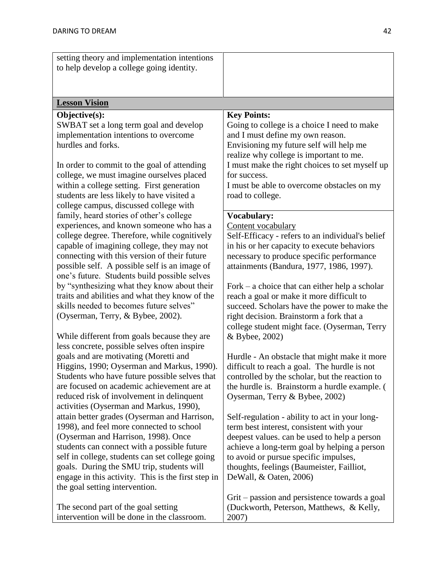| setting theory and implementation intentions<br>to help develop a college going identity.  |                                                                                                 |
|--------------------------------------------------------------------------------------------|-------------------------------------------------------------------------------------------------|
|                                                                                            |                                                                                                 |
| <b>Lesson Vision</b>                                                                       |                                                                                                 |
| Objective(s):                                                                              | <b>Key Points:</b>                                                                              |
| SWBAT set a long term goal and develop                                                     | Going to college is a choice I need to make                                                     |
| implementation intentions to overcome                                                      | and I must define my own reason.                                                                |
| hurdles and forks.                                                                         | Envisioning my future self will help me<br>realize why college is important to me.              |
| In order to commit to the goal of attending                                                | I must make the right choices to set myself up                                                  |
| college, we must imagine ourselves placed                                                  | for success.                                                                                    |
| within a college setting. First generation                                                 | I must be able to overcome obstacles on my                                                      |
| students are less likely to have visited a                                                 | road to college.                                                                                |
| college campus, discussed college with                                                     |                                                                                                 |
| family, heard stories of other's college                                                   | <b>Vocabulary:</b>                                                                              |
| experiences, and known someone who has a                                                   | Content vocabulary                                                                              |
| college degree. Therefore, while cognitively<br>capable of imagining college, they may not | Self-Efficacy - refers to an individual's belief<br>in his or her capacity to execute behaviors |
| connecting with this version of their future                                               | necessary to produce specific performance                                                       |
| possible self. A possible self is an image of                                              | attainments (Bandura, 1977, 1986, 1997).                                                        |
| one's future. Students build possible selves                                               |                                                                                                 |
| by "synthesizing what they know about their                                                | Fork – a choice that can either help a scholar                                                  |
| traits and abilities and what they know of the                                             | reach a goal or make it more difficult to                                                       |
| skills needed to becomes future selves"                                                    | succeed. Scholars have the power to make the                                                    |
| (Oyserman, Terry, & Bybee, 2002).                                                          | right decision. Brainstorm a fork that a<br>college student might face. (Oyserman, Terry        |
| While different from goals because they are                                                | & Bybee, 2002)                                                                                  |
| less concrete, possible selves often inspire                                               |                                                                                                 |
| goals and are motivating (Moretti and                                                      | Hurdle - An obstacle that might make it more                                                    |
| Higgins, 1990; Oyserman and Markus, 1990).                                                 | difficult to reach a goal. The hurdle is not                                                    |
| Students who have future possible selves that                                              | controlled by the scholar, but the reaction to                                                  |
| are focused on academic achievement are at                                                 | the hurdle is. Brainstorm a hurdle example. (                                                   |
| reduced risk of involvement in delinquent                                                  | Oyserman, Terry & Bybee, 2002)                                                                  |
| activities (Oyserman and Markus, 1990),<br>attain better grades (Oyserman and Harrison,    | Self-regulation - ability to act in your long-                                                  |
| 1998), and feel more connected to school                                                   | term best interest, consistent with your                                                        |
| (Oyserman and Harrison, 1998). Once                                                        | deepest values. can be used to help a person                                                    |
| students can connect with a possible future                                                | achieve a long-term goal by helping a person                                                    |
| self in college, students can set college going                                            | to avoid or pursue specific impulses,                                                           |
| goals. During the SMU trip, students will                                                  | thoughts, feelings (Baumeister, Failliot,                                                       |
| engage in this activity. This is the first step in                                         | DeWall, & Oaten, 2006)                                                                          |
| the goal setting intervention.                                                             | Grit – passion and persistence towards a goal                                                   |
| The second part of the goal setting                                                        | (Duckworth, Peterson, Matthews, & Kelly,                                                        |
| intervention will be done in the classroom.                                                | 2007)                                                                                           |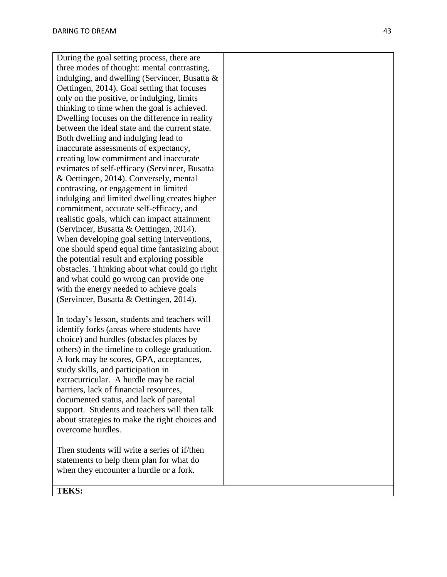During the goal setting process, there are three modes of thought: mental contrasting, indulging, and dwelling (Servincer, Busatta & Oettingen, 2014). Goal setting that focuses only on the positive, or indulging, limits thinking to time when the goal is achieved. Dwelling focuses on the difference in reality between the ideal state and the current state. Both dwelling and indulging lead to inaccurate assessments of expectancy, creating low commitment and inaccurate estimates of self-efficacy (Servincer, Busatta & Oettingen, 2014). Conversely, mental contrasting, or engagement in limited indulging and limited dwelling creates higher commitment, accurate self-efficacy, and realistic goals, which can impact attainment (Servincer, Busatta & Oettingen, 2014). When developing goal setting interventions, one should spend equal time fantasizing about the potential result and exploring possible obstacles. Thinking about what could go right and what could go wrong can provide one with the energy needed to achieve goals (Servincer, Busatta & Oettingen, 2014).

In today's lesson, students and teachers will identify forks (areas where students have choice) and hurdles (obstacles places by others) in the timeline to college graduation. A fork may be scores, GPA, acceptances, study skills, and participation in extracurricular. A hurdle may be racial barriers, lack of financial resources, documented status, and lack of parental support. Students and teachers will then talk about strategies to make the right choices and overcome hurdles.

Then students will write a series of if/then statements to help them plan for what do when they encounter a hurdle or a fork.

**TEKS:**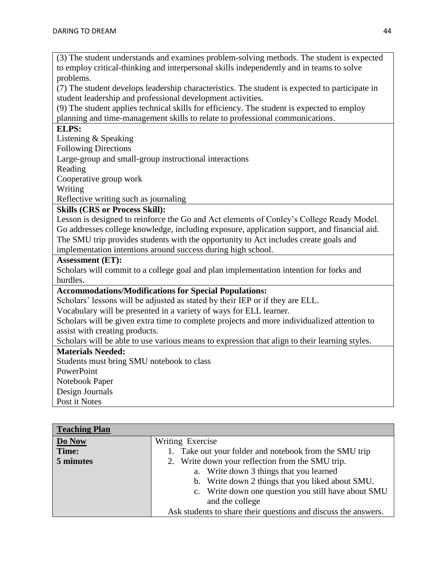(3) The student understands and examines problem-solving methods. The student is expected to employ critical-thinking and interpersonal skills independently and in teams to solve problems.

(7) The student develops leadership characteristics. The student is expected to participate in student leadership and professional development activities.

(9) The student applies technical skills for efficiency. The student is expected to employ planning and time-management skills to relate to professional communications.

# **ELPS:**

Listening & Speaking

Following Directions

Large-group and small-group instructional interactions

Reading

Cooperative group work

Writing

Reflective writing such as journaling

## **Skills (CRS or Process Skill):**

Lesson is designed to reinforce the Go and Act elements of Conley's College Ready Model. Go addresses college knowledge, including exposure, application support, and financial aid. The SMU trip provides students with the opportunity to Act includes create goals and implementation intentions around success during high school.

#### **Assessment (ET):**

Scholars will commit to a college goal and plan implementation intention for forks and hurdles.

### **Accommodations/Modifications for Special Populations:**

Scholars' lessons will be adjusted as stated by their IEP or if they are ELL.

Vocabulary will be presented in a variety of ways for ELL learner.

Scholars will be given extra time to complete projects and more individualized attention to assist with creating products.

Scholars will be able to use various means to expression that align to their learning styles.

### **Materials Needed:**

Students must bring SMU notebook to class **PowerPoint** Notebook Paper Design Journals Post it Notes

**Teaching Plan Do Now Time: 5 minutes** Writing Exercise 1. Take out your folder and notebook from the SMU trip 2. Write down your reflection from the SMU trip. a. Write down 3 things that you learned b. Write down 2 things that you liked about SMU. c. Write down one question you still have about SMU and the college Ask students to share their questions and discuss the answers.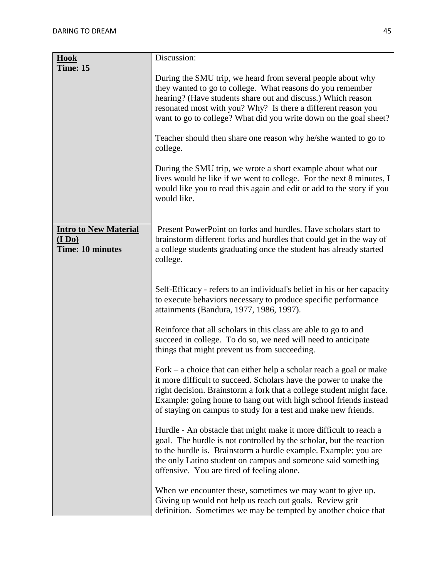| <b>Hook</b>                                                       | Discussion:                                                                                                                                                                                                                                                                                                                                              |  |  |  |  |
|-------------------------------------------------------------------|----------------------------------------------------------------------------------------------------------------------------------------------------------------------------------------------------------------------------------------------------------------------------------------------------------------------------------------------------------|--|--|--|--|
| Time: 15                                                          |                                                                                                                                                                                                                                                                                                                                                          |  |  |  |  |
|                                                                   | During the SMU trip, we heard from several people about why<br>they wanted to go to college. What reasons do you remember<br>hearing? (Have students share out and discuss.) Which reason<br>resonated most with you? Why? Is there a different reason you<br>want to go to college? What did you write down on the goal sheet?                          |  |  |  |  |
|                                                                   | Teacher should then share one reason why he/she wanted to go to<br>college.                                                                                                                                                                                                                                                                              |  |  |  |  |
|                                                                   | During the SMU trip, we wrote a short example about what our<br>lives would be like if we went to college. For the next 8 minutes, I<br>would like you to read this again and edit or add to the story if you<br>would like.                                                                                                                             |  |  |  |  |
| <b>Intro to New Material</b><br>(1 Do)<br><b>Time: 10 minutes</b> | Present PowerPoint on forks and hurdles. Have scholars start to<br>brainstorm different forks and hurdles that could get in the way of<br>a college students graduating once the student has already started<br>college.                                                                                                                                 |  |  |  |  |
|                                                                   | Self-Efficacy - refers to an individual's belief in his or her capacity<br>to execute behaviors necessary to produce specific performance<br>attainments (Bandura, 1977, 1986, 1997).                                                                                                                                                                    |  |  |  |  |
|                                                                   | Reinforce that all scholars in this class are able to go to and<br>succeed in college. To do so, we need will need to anticipate<br>things that might prevent us from succeeding.                                                                                                                                                                        |  |  |  |  |
|                                                                   | Fork $-$ a choice that can either help a scholar reach a goal or make<br>it more difficult to succeed. Scholars have the power to make the<br>right decision. Brainstorm a fork that a college student might face.<br>Example: going home to hang out with high school friends instead<br>of staying on campus to study for a test and make new friends. |  |  |  |  |
|                                                                   | Hurdle - An obstacle that might make it more difficult to reach a<br>goal. The hurdle is not controlled by the scholar, but the reaction<br>to the hurdle is. Brainstorm a hurdle example. Example: you are<br>the only Latino student on campus and someone said something<br>offensive. You are tired of feeling alone.                                |  |  |  |  |
|                                                                   | When we encounter these, sometimes we may want to give up.<br>Giving up would not help us reach out goals. Review grit<br>definition. Sometimes we may be tempted by another choice that                                                                                                                                                                 |  |  |  |  |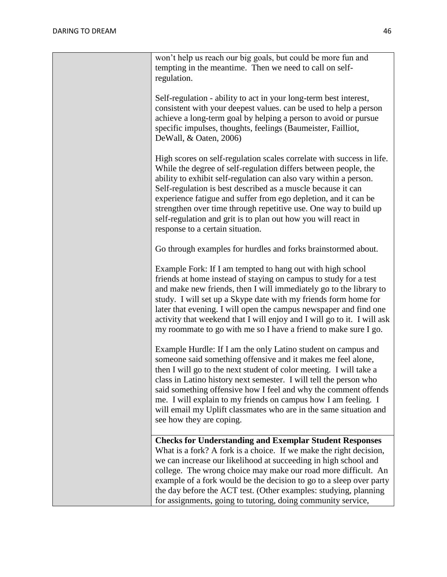| won't help us reach our big goals, but could be more fun and<br>tempting in the meantime. Then we need to call on self-<br>regulation.                                                                                                                                                                                                                                                                                                                                                                                    |
|---------------------------------------------------------------------------------------------------------------------------------------------------------------------------------------------------------------------------------------------------------------------------------------------------------------------------------------------------------------------------------------------------------------------------------------------------------------------------------------------------------------------------|
| Self-regulation - ability to act in your long-term best interest,<br>consistent with your deepest values. can be used to help a person<br>achieve a long-term goal by helping a person to avoid or pursue<br>specific impulses, thoughts, feelings (Baumeister, Failliot,<br>DeWall, & Oaten, 2006)                                                                                                                                                                                                                       |
| High scores on self-regulation scales correlate with success in life.<br>While the degree of self-regulation differs between people, the<br>ability to exhibit self-regulation can also vary within a person.<br>Self-regulation is best described as a muscle because it can<br>experience fatigue and suffer from ego depletion, and it can be<br>strengthen over time through repetitive use. One way to build up<br>self-regulation and grit is to plan out how you will react in<br>response to a certain situation. |
| Go through examples for hurdles and forks brainstormed about.                                                                                                                                                                                                                                                                                                                                                                                                                                                             |
| Example Fork: If I am tempted to hang out with high school<br>friends at home instead of staying on campus to study for a test<br>and make new friends, then I will immediately go to the library to<br>study. I will set up a Skype date with my friends form home for<br>later that evening. I will open the campus newspaper and find one<br>activity that weekend that I will enjoy and I will go to it. I will ask<br>my roommate to go with me so I have a friend to make sure I go.                                |
| Example Hurdle: If I am the only Latino student on campus and<br>someone said something offensive and it makes me feel alone,<br>then I will go to the next student of color meeting. I will take a<br>class in Latino history next semester. I will tell the person who<br>said something offensive how I feel and why the comment offends<br>me. I will explain to my friends on campus how I am feeling. I<br>will email my Uplift classmates who are in the same situation and<br>see how they are coping.            |
| <b>Checks for Understanding and Exemplar Student Responses</b><br>What is a fork? A fork is a choice. If we make the right decision,                                                                                                                                                                                                                                                                                                                                                                                      |
| we can increase our likelihood at succeeding in high school and<br>college. The wrong choice may make our road more difficult. An<br>example of a fork would be the decision to go to a sleep over party<br>the day before the ACT test. (Other examples: studying, planning                                                                                                                                                                                                                                              |
| for assignments, going to tutoring, doing community service,                                                                                                                                                                                                                                                                                                                                                                                                                                                              |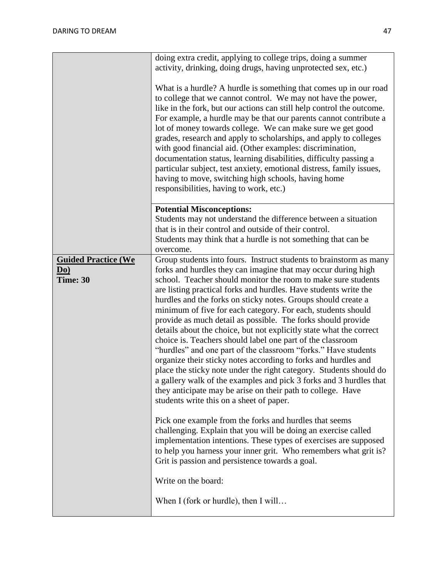|                                                           | doing extra credit, applying to college trips, doing a summer<br>activity, drinking, doing drugs, having unprotected sex, etc.)<br>What is a hurdle? A hurdle is something that comes up in our road<br>to college that we cannot control. We may not have the power,<br>like in the fork, but our actions can still help control the outcome.<br>For example, a hurdle may be that our parents cannot contribute a<br>lot of money towards college. We can make sure we get good<br>grades, research and apply to scholarships, and apply to colleges<br>with good financial aid. (Other examples: discrimination,<br>documentation status, learning disabilities, difficulty passing a<br>particular subject, test anxiety, emotional distress, family issues,<br>having to move, switching high schools, having home<br>responsibilities, having to work, etc.)                                                                                                                                                                                                                                                                                                                                                                                                                                                                                                                              |
|-----------------------------------------------------------|-------------------------------------------------------------------------------------------------------------------------------------------------------------------------------------------------------------------------------------------------------------------------------------------------------------------------------------------------------------------------------------------------------------------------------------------------------------------------------------------------------------------------------------------------------------------------------------------------------------------------------------------------------------------------------------------------------------------------------------------------------------------------------------------------------------------------------------------------------------------------------------------------------------------------------------------------------------------------------------------------------------------------------------------------------------------------------------------------------------------------------------------------------------------------------------------------------------------------------------------------------------------------------------------------------------------------------------------------------------------------------------------------|
|                                                           | <b>Potential Misconceptions:</b><br>Students may not understand the difference between a situation<br>that is in their control and outside of their control.<br>Students may think that a hurdle is not something that can be<br>overcome.                                                                                                                                                                                                                                                                                                                                                                                                                                                                                                                                                                                                                                                                                                                                                                                                                                                                                                                                                                                                                                                                                                                                                      |
| <b>Guided Practice (We</b><br>$\mathbf{Do}$ )<br>Time: 30 | Group students into fours. Instruct students to brainstorm as many<br>forks and hurdles they can imagine that may occur during high<br>school. Teacher should monitor the room to make sure students<br>are listing practical forks and hurdles. Have students write the<br>hurdles and the forks on sticky notes. Groups should create a<br>minimum of five for each category. For each, students should<br>provide as much detail as possible. The forks should provide<br>details about the choice, but not explicitly state what the correct<br>choice is. Teachers should label one part of the classroom<br>"hurdles" and one part of the classroom "forks." Have students<br>organize their sticky notes according to forks and hurdles and<br>place the sticky note under the right category. Students should do<br>a gallery walk of the examples and pick 3 forks and 3 hurdles that<br>they anticipate may be arise on their path to college. Have<br>students write this on a sheet of paper.<br>Pick one example from the forks and hurdles that seems<br>challenging. Explain that you will be doing an exercise called<br>implementation intentions. These types of exercises are supposed<br>to help you harness your inner grit. Who remembers what grit is?<br>Grit is passion and persistence towards a goal.<br>Write on the board:<br>When I (fork or hurdle), then I will |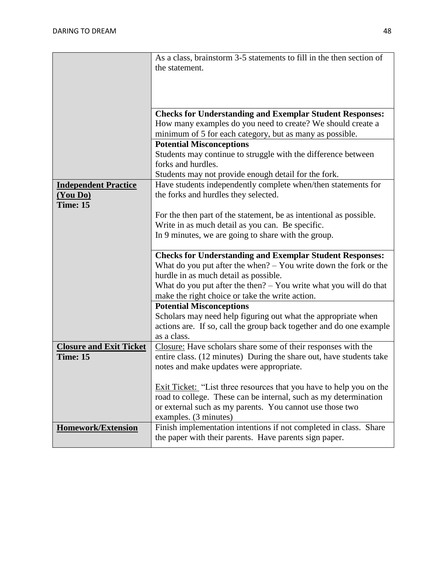|                                | As a class, brainstorm 3-5 statements to fill in the then section of                                                        |  |  |  |  |  |
|--------------------------------|-----------------------------------------------------------------------------------------------------------------------------|--|--|--|--|--|
|                                | the statement.                                                                                                              |  |  |  |  |  |
|                                |                                                                                                                             |  |  |  |  |  |
|                                |                                                                                                                             |  |  |  |  |  |
|                                |                                                                                                                             |  |  |  |  |  |
|                                |                                                                                                                             |  |  |  |  |  |
|                                | <b>Checks for Understanding and Exemplar Student Responses:</b>                                                             |  |  |  |  |  |
|                                | How many examples do you need to create? We should create a                                                                 |  |  |  |  |  |
|                                | minimum of 5 for each category, but as many as possible.                                                                    |  |  |  |  |  |
|                                | <b>Potential Misconceptions</b>                                                                                             |  |  |  |  |  |
|                                | Students may continue to struggle with the difference between                                                               |  |  |  |  |  |
|                                | forks and hurdles.                                                                                                          |  |  |  |  |  |
|                                | Students may not provide enough detail for the fork.                                                                        |  |  |  |  |  |
| <b>Independent Practice</b>    | Have students independently complete when/then statements for                                                               |  |  |  |  |  |
| (You Do)                       | the forks and hurdles they selected.                                                                                        |  |  |  |  |  |
| Time: 15                       |                                                                                                                             |  |  |  |  |  |
|                                | For the then part of the statement, be as intentional as possible.                                                          |  |  |  |  |  |
|                                | Write in as much detail as you can. Be specific.                                                                            |  |  |  |  |  |
|                                | In 9 minutes, we are going to share with the group.                                                                         |  |  |  |  |  |
|                                |                                                                                                                             |  |  |  |  |  |
|                                | <b>Checks for Understanding and Exemplar Student Responses:</b>                                                             |  |  |  |  |  |
|                                |                                                                                                                             |  |  |  |  |  |
|                                | What do you put after the when? $-$ You write down the fork or the                                                          |  |  |  |  |  |
|                                | hurdle in as much detail as possible.                                                                                       |  |  |  |  |  |
|                                | What do you put after the then? $-$ You write what you will do that                                                         |  |  |  |  |  |
|                                | make the right choice or take the write action.                                                                             |  |  |  |  |  |
|                                | <b>Potential Misconceptions</b>                                                                                             |  |  |  |  |  |
|                                | Scholars may need help figuring out what the appropriate when                                                               |  |  |  |  |  |
|                                | actions are. If so, call the group back together and do one example                                                         |  |  |  |  |  |
|                                | as a class.                                                                                                                 |  |  |  |  |  |
| <b>Closure and Exit Ticket</b> | Closure: Have scholars share some of their responses with the                                                               |  |  |  |  |  |
| <b>Time: 15</b>                | entire class. (12 minutes) During the share out, have students take                                                         |  |  |  |  |  |
|                                | notes and make updates were appropriate.                                                                                    |  |  |  |  |  |
|                                |                                                                                                                             |  |  |  |  |  |
|                                | Exit Ticket: "List three resources that you have to help you on the                                                         |  |  |  |  |  |
|                                | road to college. These can be internal, such as my determination                                                            |  |  |  |  |  |
|                                | or external such as my parents. You cannot use those two                                                                    |  |  |  |  |  |
|                                | examples. (3 minutes)                                                                                                       |  |  |  |  |  |
|                                |                                                                                                                             |  |  |  |  |  |
| <b>Homework/Extension</b>      | Finish implementation intentions if not completed in class. Share<br>the paper with their parents. Have parents sign paper. |  |  |  |  |  |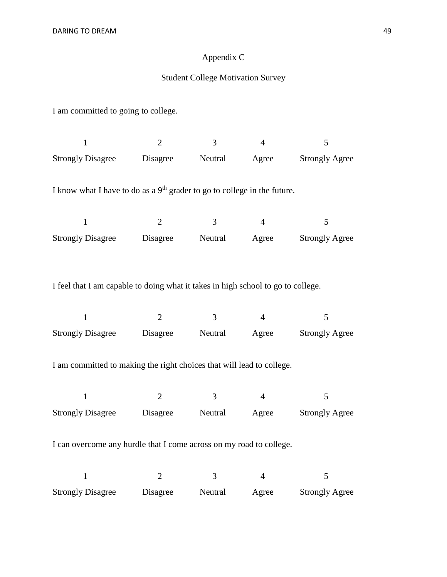# Appendix C

# Student College Motivation Survey

I am committed to going to college.

| $\mathbf{1}$                                                                     | $\overline{2}$ | $\overline{3}$ | $\overline{4}$ | 5                     |
|----------------------------------------------------------------------------------|----------------|----------------|----------------|-----------------------|
| <b>Strongly Disagree</b>                                                         | Disagree       | Neutral        | Agree          | <b>Strongly Agree</b> |
|                                                                                  |                |                |                |                       |
| I know what I have to do as a $9th$ grader to go to college in the future.       |                |                |                |                       |
| $\mathbf{1}$                                                                     | $\overline{2}$ | $\overline{3}$ | $\overline{4}$ | 5                     |
| <b>Strongly Disagree</b>                                                         | Disagree       | Neutral        | Agree          | <b>Strongly Agree</b> |
|                                                                                  |                |                |                |                       |
|                                                                                  |                |                |                |                       |
| I feel that I am capable to doing what it takes in high school to go to college. |                |                |                |                       |
|                                                                                  |                |                |                |                       |
| $\mathbf{1}$                                                                     | $\overline{2}$ | $\overline{3}$ | $\overline{4}$ | 5                     |
| <b>Strongly Disagree</b>                                                         | Disagree       | Neutral        | Agree          | <b>Strongly Agree</b> |
| I am committed to making the right choices that will lead to college.            |                |                |                |                       |
|                                                                                  |                |                |                |                       |
| $\mathbf{1}$                                                                     | $\overline{2}$ | $\overline{3}$ | $\overline{4}$ | 5                     |
| <b>Strongly Disagree</b>                                                         | Disagree       | Neutral        | Agree          | <b>Strongly Agree</b> |
|                                                                                  |                |                |                |                       |
| I can overcome any hurdle that I come across on my road to college.              |                |                |                |                       |
| $\mathbf{1}$                                                                     | $\overline{2}$ | 3              | $\overline{4}$ | 5                     |
|                                                                                  |                |                |                |                       |
| <b>Strongly Disagree</b>                                                         | Disagree       | Neutral        | Agree          | <b>Strongly Agree</b> |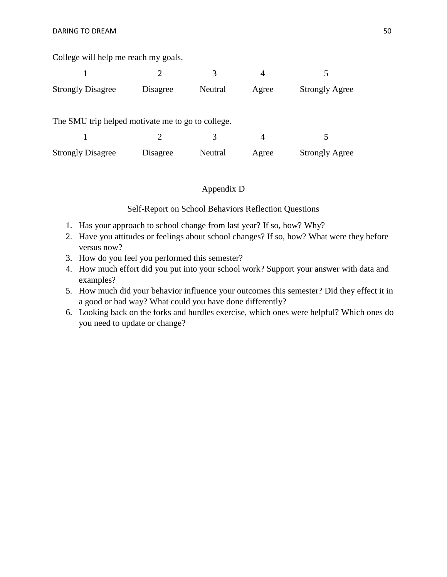College will help me reach my goals.

|                                                   |          |         | 4     |                       |
|---------------------------------------------------|----------|---------|-------|-----------------------|
| <b>Strongly Disagree</b>                          | Disagree | Neutral | Agree | <b>Strongly Agree</b> |
| The SMU trip helped motivate me to go to college. |          |         |       |                       |
|                                                   |          |         |       |                       |
| <b>Strongly Disagree</b>                          | Disagree | Neutral | Agree | <b>Strongly Agree</b> |

## Appendix D

Self-Report on School Behaviors Reflection Questions

- 1. Has your approach to school change from last year? If so, how? Why?
- 2. Have you attitudes or feelings about school changes? If so, how? What were they before versus now?
- 3. How do you feel you performed this semester?
- 4. How much effort did you put into your school work? Support your answer with data and examples?
- 5. How much did your behavior influence your outcomes this semester? Did they effect it in a good or bad way? What could you have done differently?
- 6. Looking back on the forks and hurdles exercise, which ones were helpful? Which ones do you need to update or change?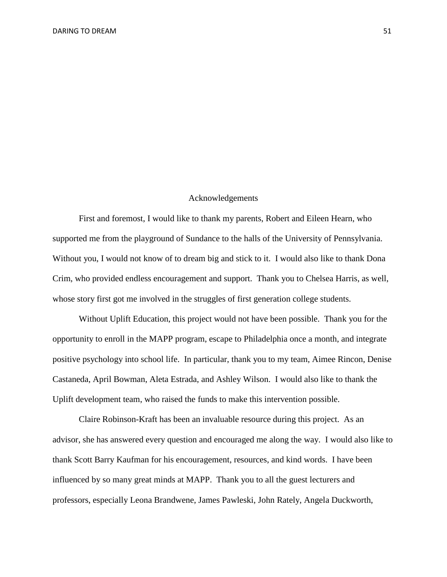#### Acknowledgements

First and foremost, I would like to thank my parents, Robert and Eileen Hearn, who supported me from the playground of Sundance to the halls of the University of Pennsylvania. Without you, I would not know of to dream big and stick to it. I would also like to thank Dona Crim, who provided endless encouragement and support. Thank you to Chelsea Harris, as well, whose story first got me involved in the struggles of first generation college students.

Without Uplift Education, this project would not have been possible. Thank you for the opportunity to enroll in the MAPP program, escape to Philadelphia once a month, and integrate positive psychology into school life. In particular, thank you to my team, Aimee Rincon, Denise Castaneda, April Bowman, Aleta Estrada, and Ashley Wilson. I would also like to thank the Uplift development team, who raised the funds to make this intervention possible.

Claire Robinson-Kraft has been an invaluable resource during this project. As an advisor, she has answered every question and encouraged me along the way. I would also like to thank Scott Barry Kaufman for his encouragement, resources, and kind words. I have been influenced by so many great minds at MAPP. Thank you to all the guest lecturers and professors, especially Leona Brandwene, James Pawleski, John Rately, Angela Duckworth,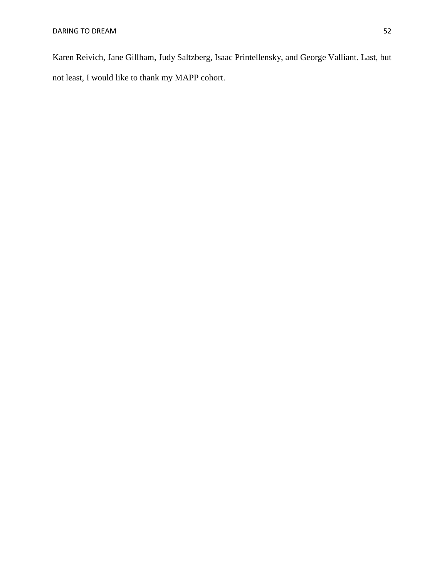Karen Reivich, Jane Gillham, Judy Saltzberg, Isaac Printellensky, and George Valliant. Last, but not least, I would like to thank my MAPP cohort.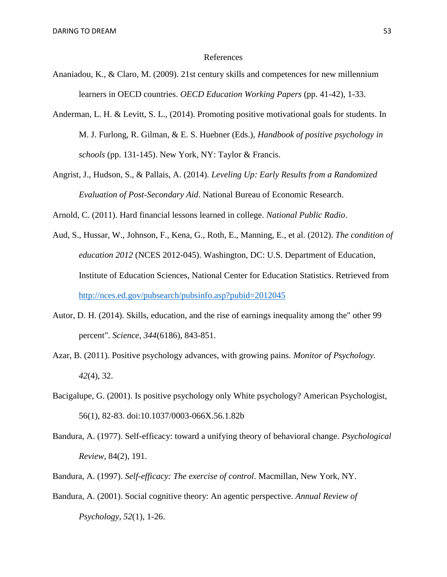#### References

- Ananiadou, K., & Claro, M. (2009). 21st century skills and competences for new millennium learners in OECD countries. *OECD Education Working Papers* (pp. 41-42), 1-33.
- Anderman, L. H. & Levitt, S. L., (2014). Promoting positive motivational goals for students. In M. J. Furlong, R. Gilman, & E. S. Huebner (Eds.), *Handbook of positive psychology in schools* (pp. 131-145). New York, NY: Taylor & Francis.
- Angrist, J., Hudson, S., & Pallais, A. (2014). *Leveling Up: Early Results from a Randomized Evaluation of Post-Secondary Aid*. National Bureau of Economic Research.

Arnold, C. (2011). Hard financial lessons learned in college. *National Public Radio*.

- Aud, S., Hussar, W., Johnson, F., Kena, G., Roth, E., Manning, E., et al. (2012). *The condition of education 2012* (NCES 2012-045). Washington, DC: U.S. Department of Education, Institute of Education Sciences, National Center for Education Statistics. Retrieved from <http://nces.ed.gov/pubsearch/pubsinfo.asp?pubid=2012045>
- Autor, D. H. (2014). Skills, education, and the rise of earnings inequality among the" other 99 percent". *Science, 344*(6186), 843-851.
- Azar, B. (2011). Positive psychology advances, with growing pains. *Monitor of Psychology. 42*(4), 32.
- Bacigalupe, G. (2001). Is positive psychology only White psychology? American Psychologist, 56(1), 82-83. doi:10.1037/0003-066X.56.1.82b
- Bandura, A. (1977). Self-efficacy: toward a unifying theory of behavioral change. *Psychological Review*, 84(2), 191.
- Bandura, A. (1997). *Self-efficacy: The exercise of control*. Macmillan, New York, NY.
- Bandura, A. (2001). Social cognitive theory: An agentic perspective. *Annual Review of Psychology*, *52*(1), 1-26.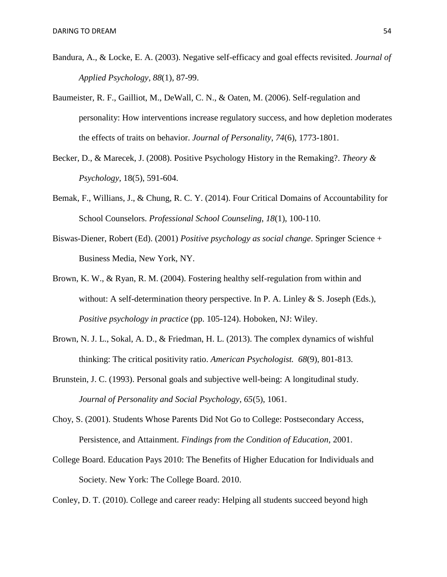- Bandura, A., & Locke, E. A. (2003). Negative self-efficacy and goal effects revisited. *Journal of Applied Psychology, 88*(1), 87-99.
- Baumeister, R. F., Gailliot, M., DeWall, C. N., & Oaten, M. (2006). Self-regulation and personality: How interventions increase regulatory success, and how depletion moderates the effects of traits on behavior. *Journal of Personality*, *74*(6), 1773-1801.
- Becker, D., & Marecek, J. (2008). Positive Psychology History in the Remaking?. *Theory & Psychology,* 18(5), 591-604.
- Bemak, F., Willians, J., & Chung, R. C. Y. (2014). Four Critical Domains of Accountability for School Counselors. *Professional School Counseling*, *18*(1), 100-110.
- Biswas-Diener, Robert (Ed). (2001) *Positive psychology as social change*. Springer Science + Business Media, New York, NY.
- Brown, K. W., & Ryan, R. M. (2004). Fostering healthy self-regulation from within and without: A self-determination theory perspective. In P. A. Linley  $& S.$  Joseph (Eds.), *Positive psychology in practice* (pp. 105-124). Hoboken, NJ: Wiley.
- Brown, N. J. L., Sokal, A. D., & Friedman, H. L. (2013). The complex dynamics of wishful thinking: The critical positivity ratio. *American Psychologist. 68*(9), 801-813.
- Brunstein, J. C. (1993). Personal goals and subjective well-being: A longitudinal study. *Journal of Personality and Social Psychology*, *65*(5), 1061.
- Choy, S. (2001). Students Whose Parents Did Not Go to College: Postsecondary Access, Persistence, and Attainment. *Findings from the Condition of Education*, 2001.
- College Board. Education Pays 2010: The Benefits of Higher Education for Individuals and Society. New York: The College Board. 2010.

Conley, D. T. (2010). College and career ready: Helping all students succeed beyond high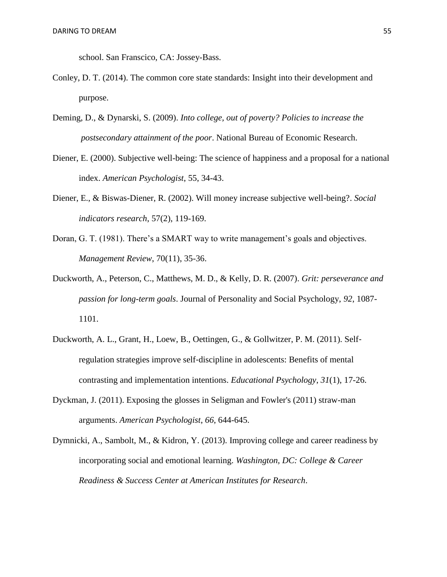school. San Franscico, CA: Jossey-Bass.

- Conley, D. T. (2014). The common core state standards: Insight into their development and purpose.
- Deming, D., & Dynarski, S. (2009). *Into college, out of poverty? Policies to increase the postsecondary attainment of the poor*. National Bureau of Economic Research.
- Diener, E. (2000). Subjective well-being: The science of happiness and a proposal for a national index. *American Psychologist*, 55, 34-43.
- Diener, E., & Biswas-Diener, R. (2002). Will money increase subjective well-being?. *Social indicators research*, 57(2), 119-169.
- Doran, G. T. (1981). There's a SMART way to write management's goals and objectives. *Management Review*, 70(11), 35-36.
- Duckworth, A., Peterson, C., Matthews, M. D., & Kelly, D. R. (2007). *Grit: perseverance and passion for long-term goals*. Journal of Personality and Social Psychology, *92*, 1087- 1101.
- Duckworth, A. L., Grant, H., Loew, B., Oettingen, G., & Gollwitzer, P. M. (2011). Self‐ regulation strategies improve self‐discipline in adolescents: Benefits of mental contrasting and implementation intentions. *Educational Psychology*, *31*(1), 17-26.
- Dyckman, J. (2011). Exposing the glosses in Seligman and Fowler's (2011) straw-man arguments. *American Psychologist*, *66*, 644-645.
- Dymnicki, A., Sambolt, M., & Kidron, Y. (2013). Improving college and career readiness by incorporating social and emotional learning. *Washington, DC: College & Career Readiness & Success Center at American Institutes for Research*.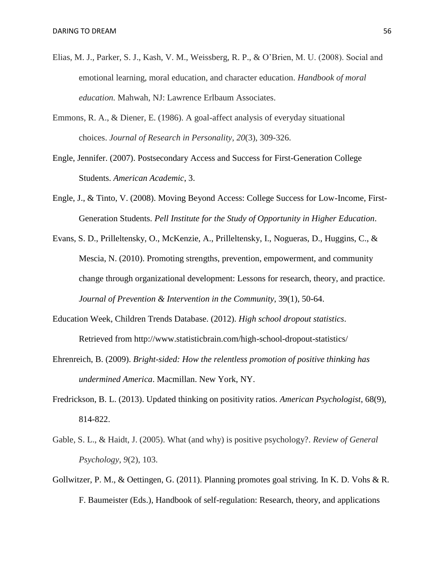- Elias, M. J., Parker, S. J., Kash, V. M., Weissberg, R. P., & O'Brien, M. U. (2008). Social and emotional learning, moral education, and character education. *Handbook of moral education.* Mahwah, NJ: Lawrence Erlbaum Associates.
- Emmons, R. A., & Diener, E. (1986). A goal-affect analysis of everyday situational choices. *Journal of Research in Personality*, *20*(3), 309-326.
- Engle, Jennifer. (2007). Postsecondary Access and Success for First-Generation College Students. *American Academic*, 3.
- Engle, J., & Tinto, V. (2008). Moving Beyond Access: College Success for Low-Income, First-Generation Students. *Pell Institute for the Study of Opportunity in Higher Education*.
- Evans, S. D., Prilleltensky, O., McKenzie, A., Prilleltensky, I., Nogueras, D., Huggins, C., & Mescia, N. (2010). Promoting strengths, prevention, empowerment, and community change through organizational development: Lessons for research, theory, and practice. *Journal of Prevention & Intervention in the Community*, 39(1), 50-64.
- Education Week, Children Trends Database. (2012). *High school dropout statistics*. Retrieved from http://www.statisticbrain.com/high-school-dropout-statistics/
- Ehrenreich, B. (2009). *Bright-sided: How the relentless promotion of positive thinking has undermined America*. Macmillan. New York, NY.
- Fredrickson, B. L. (2013). Updated thinking on positivity ratios. *American Psychologist*, 68(9), 814-822.
- Gable, S. L., & Haidt, J. (2005). What (and why) is positive psychology?. *Review of General Psychology*, *9*(2), 103.
- Gollwitzer, P. M., & Oettingen, G. (2011). Planning promotes goal striving. In K. D. Vohs & R. F. Baumeister (Eds.), Handbook of self-regulation: Research, theory, and applications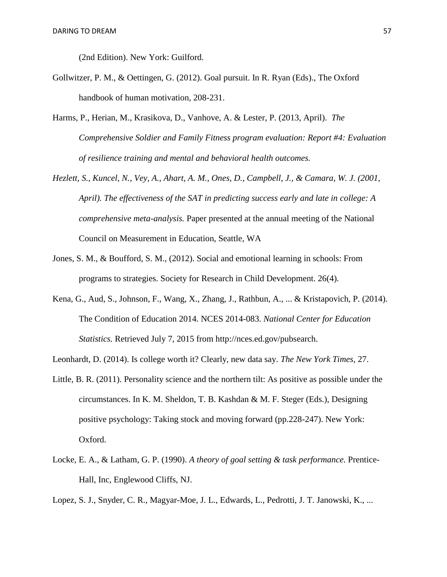(2nd Edition). New York: Guilford.

- Gollwitzer, P. M., & Oettingen, G. (2012). Goal pursuit. In R. Ryan (Eds)., The Oxford handbook of human motivation, 208-231.
- Harms, P., Herian, M., Krasikova, D., Vanhove, A. & Lester, P. (2013, April). *The Comprehensive Soldier and Family Fitness program evaluation: Report #4: Evaluation of resilience training and mental and behavioral health outcomes.*
- *Hezlett, S., Kuncel, N., Vey, A., Ahart, A. M., Ones, D., Campbell, J., & Camara, W. J. (2001, April). The effectiveness of the SAT in predicting success early and late in college: A comprehensive meta-analysis.* Paper presented at the annual meeting of the National Council on Measurement in Education, Seattle, WA
- Jones, S. M., & Boufford, S. M., (2012). Social and emotional learning in schools: From programs to strategies. Society for Research in Child Development. 26(4).
- Kena, G., Aud, S., Johnson, F., Wang, X., Zhang, J., Rathbun, A., ... & Kristapovich, P. (2014). The Condition of Education 2014. NCES 2014-083. *National Center for Education Statistics.* Retrieved July 7, 2015 from http://nces.ed.gov/pubsearch.

Leonhardt, D. (2014). Is college worth it? Clearly, new data say. *The New York Times*, 27.

- Little, B. R. (2011). Personality science and the northern tilt: As positive as possible under the circumstances. In K. M. Sheldon, T. B. Kashdan & M. F. Steger (Eds.), Designing positive psychology: Taking stock and moving forward (pp.228-247). New York: Oxford.
- Locke, E. A., & Latham, G. P. (1990). *A theory of goal setting & task performance.* Prentice-Hall, Inc, Englewood Cliffs, NJ.

Lopez, S. J., Snyder, C. R., Magyar-Moe, J. L., Edwards, L., Pedrotti, J. T. Janowski, K., ...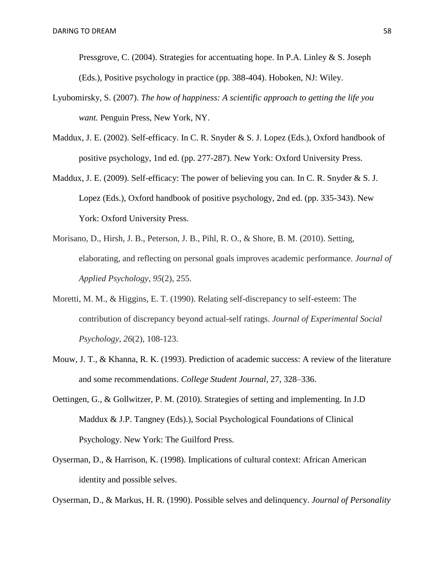Pressgrove, C. (2004). Strategies for accentuating hope. In P.A. Linley & S. Joseph (Eds.), Positive psychology in practice (pp. 388-404). Hoboken, NJ: Wiley.

- Lyubomirsky, S. (2007). *The how of happiness: A scientific approach to getting the life you want.* Penguin Press, New York, NY.
- Maddux, J. E. (2002). Self-efficacy. In C. R. Snyder & S. J. Lopez (Eds.), Oxford handbook of positive psychology, 1nd ed. (pp. 277-287). New York: Oxford University Press.
- Maddux, J. E. (2009). Self-efficacy: The power of believing you can. In C. R. Snyder & S. J. Lopez (Eds.), Oxford handbook of positive psychology, 2nd ed. (pp. 335-343). New York: Oxford University Press.
- Morisano, D., Hirsh, J. B., Peterson, J. B., Pihl, R. O., & Shore, B. M. (2010). Setting, elaborating, and reflecting on personal goals improves academic performance. *Journal of Applied Psychology*, *95*(2), 255.
- Moretti, M. M., & Higgins, E. T. (1990). Relating self-discrepancy to self-esteem: The contribution of discrepancy beyond actual-self ratings. *Journal of Experimental Social Psychology*, *26*(2), 108-123.
- Mouw, J. T., & Khanna, R. K. (1993). Prediction of academic success: A review of the literature and some recommendations. *College Student Journal*, 27, 328–336.
- Oettingen, G., & Gollwitzer, P. M. (2010). Strategies of setting and implementing. In J.D Maddux & J.P. Tangney (Eds).), Social Psychological Foundations of Clinical Psychology. New York: The Guilford Press.
- Oyserman, D., & Harrison, K. (1998). Implications of cultural context: African American identity and possible selves.

Oyserman, D., & Markus, H. R. (1990). Possible selves and delinquency. *Journal of Personality*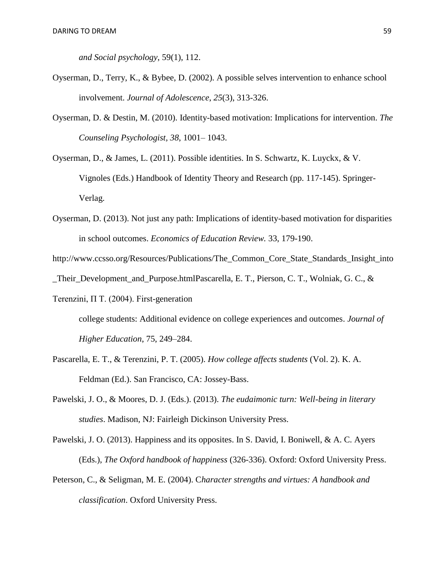*and Social psychology*, 59(1), 112.

- Oyserman, D., Terry, K., & Bybee, D. (2002). A possible selves intervention to enhance school involvement. *Journal of Adolescence*, *25*(3), 313-326.
- Oyserman, D. & Destin, M. (2010). Identity-based motivation: Implications for intervention. *The Counseling Psychologist, 38*, 1001– 1043.

Oyserman, D., & James, L. (2011). Possible identities. In S. Schwartz, K. Luyckx, & V. Vignoles (Eds.) Handbook of Identity Theory and Research (pp. 117-145). Springer-Verlag.

- Oyserman, D. (2013). Not just any path: Implications of identity-based motivation for disparities in school outcomes. *Economics of Education Review.* 33, 179-190.
- http://www.ccsso.org/Resources/Publications/The\_Common\_Core\_State\_Standards\_Insight\_into

\_Their\_Development\_and\_Purpose.htmlPascarella, E. T., Pierson, C. T., Wolniak, G. C., &

Terenzini, Π T. (2004). First-generation

college students: Additional evidence on college experiences and outcomes. *Journal of Higher Education*, 75, 249–284.

- Pascarella, E. T., & Terenzini, P. T. (2005). *How college affects students* (Vol. 2). K. A. Feldman (Ed.). San Francisco, CA: Jossey-Bass.
- Pawelski, J. O., & Moores, D. J. (Eds.). (2013). *The eudaimonic turn: Well-being in literary studies*. Madison, NJ: Fairleigh Dickinson University Press.

Pawelski, J. O. (2013). Happiness and its opposites. In S. David, I. Boniwell, & A. C. Ayers (Eds.), *The Oxford handbook of happiness* (326-336). Oxford: Oxford University Press.

Peterson, C., & Seligman, M. E. (2004). C*haracter strengths and virtues: A handbook and classification*. Oxford University Press.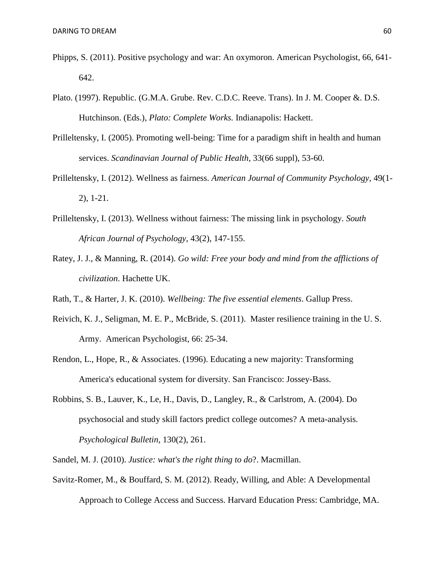- Phipps, S. (2011). Positive psychology and war: An oxymoron. American Psychologist, 66, 641- 642.
- Plato. (1997). Republic. (G.M.A. Grube. Rev. C.D.C. Reeve. Trans). In J. M. Cooper &. D.S. Hutchinson. (Eds.), *Plato: Complete Works.* Indianapolis: Hackett.
- Prilleltensky, I. (2005). Promoting well-being: Time for a paradigm shift in health and human services. *Scandinavian Journal of Public Health*, 33(66 suppl), 53-60.
- Prilleltensky, I. (2012). Wellness as fairness. *American Journal of Community Psychology*, 49(1- 2), 1-21.
- Prilleltensky, I. (2013). Wellness without fairness: The missing link in psychology. *South African Journal of Psychology,* 43(2), 147-155.
- Ratey, J. J., & Manning, R. (2014). *Go wild: Free your body and mind from the afflictions of civilization*. Hachette UK.
- Rath, T., & Harter, J. K. (2010). *Wellbeing: The five essential elements*. Gallup Press.
- Reivich, K. J., Seligman, M. E. P., McBride, S. (2011). Master resilience training in the U. S. Army. American Psychologist, 66: 25-34.
- Rendon, L., Hope, R., & Associates. (1996). Educating a new majority: Transforming America's educational system for diversity. San Francisco: Jossey-Bass.
- Robbins, S. B., Lauver, K., Le, H., Davis, D., Langley, R., & Carlstrom, A. (2004). Do psychosocial and study skill factors predict college outcomes? A meta-analysis. *Psychological Bulletin*, 130(2), 261.
- Sandel, M. J. (2010). *Justice: what's the right thing to do*?. Macmillan.
- Savitz-Romer, M., & Bouffard, S. M. (2012). Ready, Willing, and Able: A Developmental Approach to College Access and Success. Harvard Education Press: Cambridge, MA.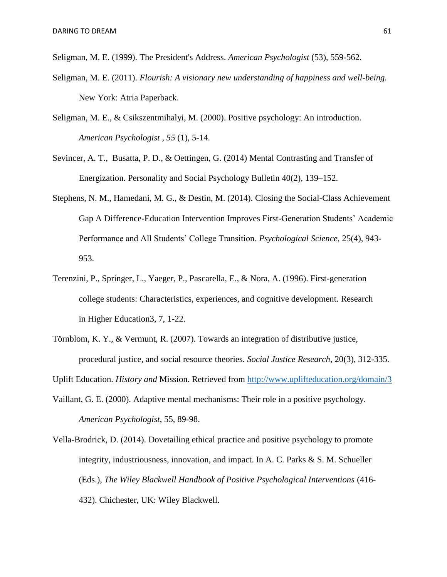Seligman, M. E. (1999). The President's Address. *American Psychologist* (53), 559-562.

- Seligman, M. E. (2011). *Flourish: A visionary new understanding of happiness and well-being.* New York: Atria Paperback.
- Seligman, M. E., & Csikszentmihalyi, M. (2000). Positive psychology: An introduction. *American Psychologist , 55* (1), 5-14.
- Sevincer, A. T., Busatta, P. D., & Oettingen, G. (2014) Mental Contrasting and Transfer of Energization. Personality and Social Psychology Bulletin 40(2), 139–152.
- Stephens, N. M., Hamedani, M. G., & Destin, M. (2014). Closing the Social-Class Achievement Gap A Difference-Education Intervention Improves First-Generation Students' Academic Performance and All Students' College Transition. *Psychological Science*, 25(4), 943- 953.
- Terenzini, P., Springer, L., Yaeger, P., Pascarella, E., & Nora, A. (1996). First-generation college students: Characteristics, experiences, and cognitive development. Research in Higher Education3, 7, 1-22.
- Törnblom, K. Y., & Vermunt, R. (2007). Towards an integration of distributive justice, procedural justice, and social resource theories. *Social Justice Research*, 20(3), 312-335.

Uplift Education. *History and* Mission. Retrieved from<http://www.uplifteducation.org/domain/3>

- Vaillant, G. E. (2000). Adaptive mental mechanisms: Their role in a positive psychology. *American Psychologist*, 55, 89-98.
- Vella-Brodrick, D. (2014). Dovetailing ethical practice and positive psychology to promote integrity, industriousness, innovation, and impact. In A. C. Parks & S. M. Schueller (Eds.), *The Wiley Blackwell Handbook of Positive Psychological Interventions* (416- 432). Chichester, UK: Wiley Blackwell.